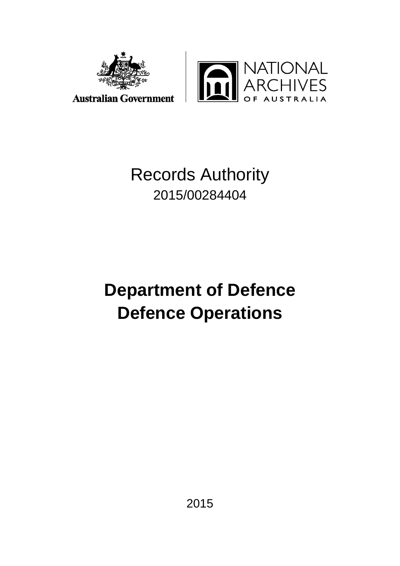



# Records Authority 2015/00284404

# **Department of Defence Defence Operations**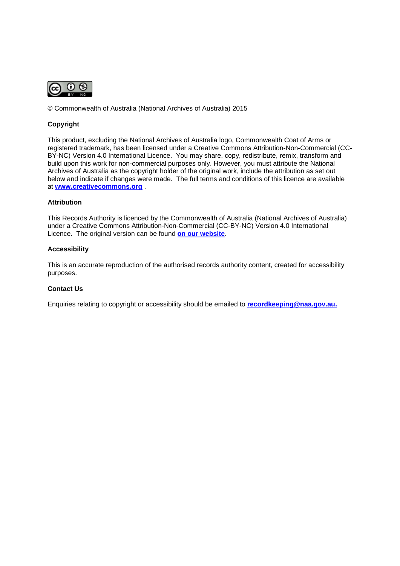

© Commonwealth of Australia (National Archives of Australia) 2015

#### **Copyright**

This product, excluding the National Archives of Australia logo, Commonwealth Coat of Arms or registered trademark, has been licensed under a Creative Commons Attribution-Non-Commercial (CC-BY-NC) Version 4.0 International Licence. You may share, copy, redistribute, remix, transform and build upon this work for non-commercial purposes only. However, you must attribute the National Archives of Australia as the copyright holder of the original work, include the attribution as set out below and indicate if changes were made. The full terms and conditions of this licence are available at **[www.creativecommons.org](http://www.creativecommons.org/)** .

#### **Attribution**

This Records Authority is licenced by the Commonwealth of Australia (National Archives of Australia) under a Creative Commons Attribution-Non-Commercial (CC-BY-NC) Version 4.0 International Licence. The original version can be found **[on our website](http://www.naa.gov.au/)**.

#### **Accessibility**

This is an accurate reproduction of the authorised records authority content, created for accessibility purposes.

#### **Contact Us**

Enquiries relating to copyright or accessibility should be emailed to **[recordkeeping@naa.gov.au.](mailto:recordkeeping@naa.gov.au)**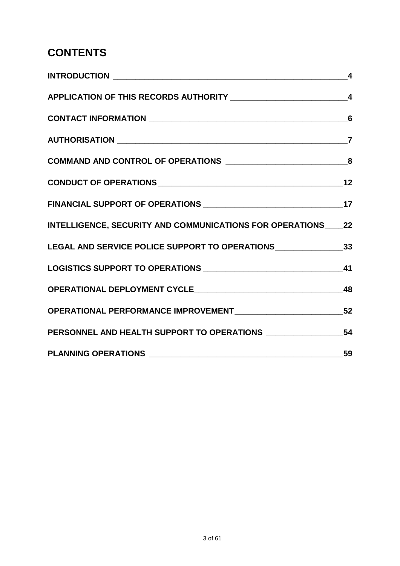# **CONTENTS**

|                                                                                   | $\overline{\mathbf{4}}$ |
|-----------------------------------------------------------------------------------|-------------------------|
|                                                                                   |                         |
|                                                                                   |                         |
|                                                                                   | $\overline{7}$          |
|                                                                                   |                         |
|                                                                                   |                         |
|                                                                                   |                         |
| INTELLIGENCE, SECURITY AND COMMUNICATIONS FOR OPERATIONS ____ 22                  |                         |
| LEGAL AND SERVICE POLICE SUPPORT TO OPERATIONS __________________________________ |                         |
|                                                                                   |                         |
|                                                                                   |                         |
|                                                                                   |                         |
|                                                                                   |                         |
|                                                                                   |                         |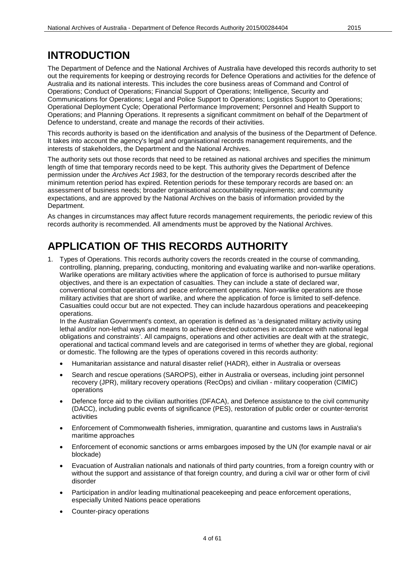#### **INTRODUCTION**

The Department of Defence and the National Archives of Australia have developed this records authority to set out the requirements for keeping or destroying records for Defence Operations and activities for the defence of Australia and its national interests. This includes the core business areas of Command and Control of Operations; Conduct of Operations; Financial Support of Operations; Intelligence, Security and Communications for Operations; Legal and Police Support to Operations; Logistics Support to Operations; Operational Deployment Cycle; Operational Performance Improvement; Personnel and Health Support to Operations; and Planning Operations. It represents a significant commitment on behalf of the Department of Defence to understand, create and manage the records of their activities.

This records authority is based on the identification and analysis of the business of the Department of Defence. It takes into account the agency's legal and organisational records management requirements, and the interests of stakeholders, the Department and the National Archives.

The authority sets out those records that need to be retained as national archives and specifies the minimum length of time that temporary records need to be kept. This authority gives the Department of Defence permission under the *Archives Act 1983*, for the destruction of the temporary records described after the minimum retention period has expired. Retention periods for these temporary records are based on: an assessment of business needs; broader organisational accountability requirements; and community expectations, and are approved by the National Archives on the basis of information provided by the Department.

As changes in circumstances may affect future records management requirements, the periodic review of this records authority is recommended. All amendments must be approved by the National Archives.

## **APPLICATION OF THIS RECORDS AUTHORITY**

1. Types of Operations. This records authority covers the records created in the course of commanding, controlling, planning, preparing, conducting, monitoring and evaluating warlike and non-warlike operations. Warlike operations are military activities where the application of force is authorised to pursue military objectives, and there is an expectation of casualties. They can include a state of declared war, conventional combat operations and peace enforcement operations. Non-warlike operations are those military activities that are short of warlike, and where the application of force is limited to self-defence. Casualties could occur but are not expected. They can include hazardous operations and peacekeeping operations.

In the Australian Government's context, an operation is defined as 'a designated military activity using lethal and/or non-lethal ways and means to achieve directed outcomes in accordance with national legal obligations and constraints'. All campaigns, operations and other activities are dealt with at the strategic, operational and tactical command levels and are categorised in terms of whether they are global, regional or domestic. The following are the types of operations covered in this records authority:

- Humanitarian assistance and natural disaster relief (HADR), either in Australia or overseas
- Search and rescue operations (SAROPS), either in Australia or overseas, including joint personnel recovery (JPR), military recovery operations (RecOps) and civilian - military cooperation (CIMIC) operations
- Defence force aid to the civilian authorities (DFACA), and Defence assistance to the civil community (DACC), including public events of significance (PES), restoration of public order or counter-terrorist activities
- Enforcement of Commonwealth fisheries, immigration, quarantine and customs laws in Australia's maritime approaches
- Enforcement of economic sanctions or arms embargoes imposed by the UN (for example naval or air blockade)
- Evacuation of Australian nationals and nationals of third party countries, from a foreign country with or without the support and assistance of that foreign country, and during a civil war or other form of civil disorder
- Participation in and/or leading multinational peacekeeping and peace enforcement operations, especially United Nations peace operations
- Counter-piracy operations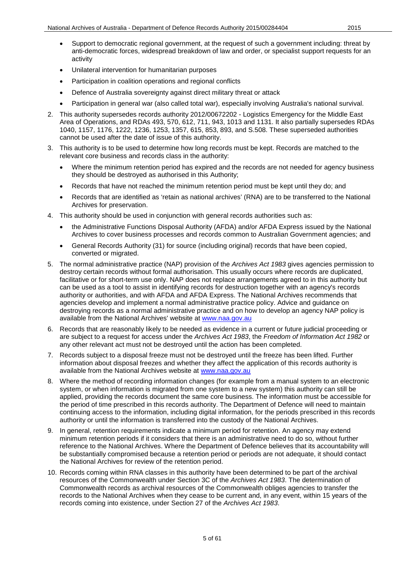- Support to democratic regional government, at the request of such a government including: threat by anti-democratic forces, widespread breakdown of law and order, or specialist support requests for an activity
- Unilateral intervention for humanitarian purposes
- Participation in coalition operations and regional conflicts
- Defence of Australia sovereignty against direct military threat or attack
- Participation in general war (also called total war), especially involving Australia's national survival.
- 2. This authority supersedes records authority 2012/00672202 Logistics Emergency for the Middle East Area of Operations, and RDAs 493, 570, 612, 711, 943, 1013 and 1131. It also partially supersedes RDAs 1040, 1157, 1176, 1222, 1236, 1253, 1357, 615, 853, 893, and S.508. These superseded authorities cannot be used after the date of issue of this authority.
- 3. This authority is to be used to determine how long records must be kept. Records are matched to the relevant core business and records class in the authority:
	- Where the minimum retention period has expired and the records are not needed for agency business they should be destroyed as authorised in this Authority;
	- Records that have not reached the minimum retention period must be kept until they do; and
	- Records that are identified as 'retain as national archives' (RNA) are to be transferred to the National Archives for preservation.
- 4. This authority should be used in conjunction with general records authorities such as:
	- the Administrative Functions Disposal Authority (AFDA) and/or AFDA Express issued by the National Archives to cover business processes and records common to Australian Government agencies; and
	- General Records Authority (31) for source (including original) records that have been copied, converted or migrated.
- 5. The normal administrative practice (NAP) provision of the *Archives Act 1983* gives agencies permission to destroy certain records without formal authorisation. This usually occurs where records are duplicated, facilitative or for short-term use only. NAP does not replace arrangements agreed to in this authority but can be used as a tool to assist in identifying records for destruction together with an agency's records authority or authorities, and with AFDA and AFDA Express. The National Archives recommends that agencies develop and implement a normal administrative practice policy. Advice and guidance on destroying records as a normal administrative practice and on how to develop an agency NAP policy is available from the National Archives' website at [www.naa.gov.au](http://www.naa.gov.au/)
- 6. Records that are reasonably likely to be needed as evidence in a current or future judicial proceeding or are subject to a request for access under the *Archives Act 1983*, the *Freedom of Information Act 1982* or any other relevant act must not be destroyed until the action has been completed.
- 7. Records subject to a disposal freeze must not be destroyed until the freeze has been lifted. Further information about disposal freezes and whether they affect the application of this records authority is available from the National Archives website at [www.naa.gov.au](http://www.naa.gov.au/)
- 8. Where the method of recording information changes (for example from a manual system to an electronic system, or when information is migrated from one system to a new system) this authority can still be applied, providing the records document the same core business. The information must be accessible for the period of time prescribed in this records authority. The Department of Defence will need to maintain continuing access to the information, including digital information, for the periods prescribed in this records authority or until the information is transferred into the custody of the National Archives.
- 9. In general, retention requirements indicate a minimum period for retention. An agency may extend minimum retention periods if it considers that there is an administrative need to do so, without further reference to the National Archives. Where the Department of Defence believes that its accountability will be substantially compromised because a retention period or periods are not adequate, it should contact the National Archives for review of the retention period.
- 10. Records coming within RNA classes in this authority have been determined to be part of the archival resources of the Commonwealth under Section 3C of the *Archives Act 1983*. The determination of Commonwealth records as archival resources of the Commonwealth obliges agencies to transfer the records to the National Archives when they cease to be current and, in any event, within 15 years of the records coming into existence, under Section 27 of the *Archives Act 1983*.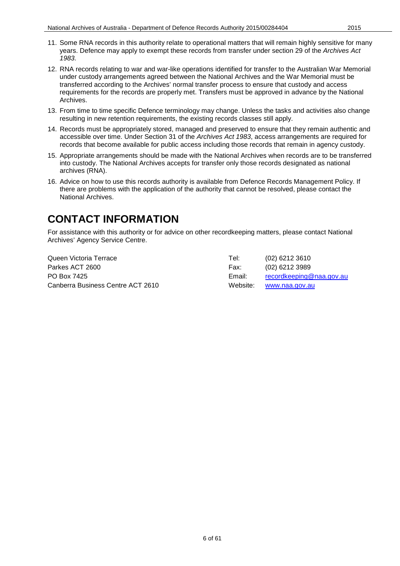- 11. Some RNA records in this authority relate to operational matters that will remain highly sensitive for many years. Defence may apply to exempt these records from transfer under section 29 of the *Archives Act 1983.*
- 12. RNA records relating to war and war-like operations identified for transfer to the Australian War Memorial under custody arrangements agreed between the National Archives and the War Memorial must be transferred according to the Archives' normal transfer process to ensure that custody and access requirements for the records are properly met. Transfers must be approved in advance by the National Archives.
- 13. From time to time specific Defence terminology may change. Unless the tasks and activities also change resulting in new retention requirements, the existing records classes still apply.
- 14. Records must be appropriately stored, managed and preserved to ensure that they remain authentic and accessible over time. Under Section 31 of the *Archives Act 1983*, access arrangements are required for records that become available for public access including those records that remain in agency custody.
- 15. Appropriate arrangements should be made with the National Archives when records are to be transferred into custody. The National Archives accepts for transfer only those records designated as national archives (RNA).
- 16. Advice on how to use this records authority is available from Defence Records Management Policy. If there are problems with the application of the authority that cannot be resolved, please contact the National Archives.

#### **CONTACT INFORMATION**

For assistance with this authority or for advice on other recordkeeping matters, please contact National Archives' Agency Service Centre.

| Queen Victoria Terrace            | Tel:   | (02) 6212 3610           |
|-----------------------------------|--------|--------------------------|
| Parkes ACT 2600                   | Fax:   | (02) 6212 3989           |
| PO Box 7425                       | Email: | recordkeeping@naa.gov.au |
| Canberra Business Centre ACT 2610 |        | Website: www.naa.gov.au  |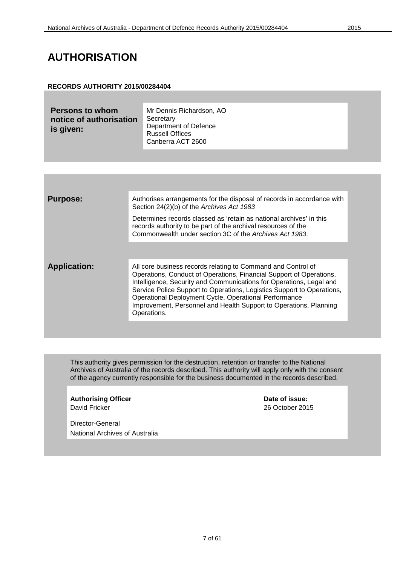#### **AUTHORISATION**

#### **RECORDS AUTHORITY 2015/00284404**

| <b>Persons to whom</b><br>notice of authorisation<br>is given: | Mr Dennis Richardson, AO<br>Secretary<br>Department of Defence<br><b>Russell Offices</b><br>Canberra ACT 2600 |  |
|----------------------------------------------------------------|---------------------------------------------------------------------------------------------------------------|--|
|----------------------------------------------------------------|---------------------------------------------------------------------------------------------------------------|--|

This authority gives permission for the destruction, retention or transfer to the National Archives of Australia of the records described. This authority will apply only with the consent of the agency currently responsible for the business documented in the records described.

**Authorising Officer <b>Date of issue:**<br>
David Fricker 201

26 October 2015

Director-General National Archives of Australia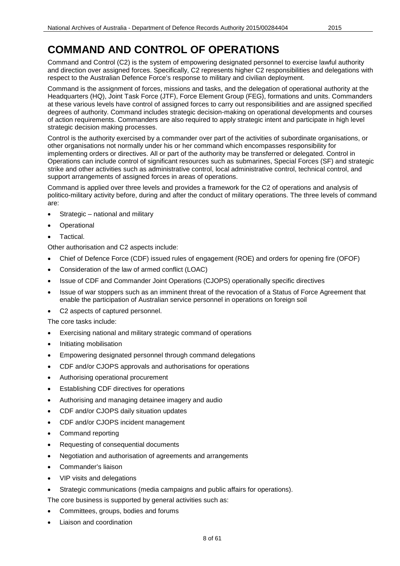Command and Control (C2) is the system of empowering designated personnel to exercise lawful authority and direction over assigned forces. Specifically, C2 represents higher C2 responsibilities and delegations with respect to the Australian Defence Force's response to military and civilian deployment.

Command is the assignment of forces, missions and tasks, and the delegation of operational authority at the Headquarters (HQ), Joint Task Force (JTF), Force Element Group (FEG), formations and units. Commanders at these various levels have control of assigned forces to carry out responsibilities and are assigned specified degrees of authority. Command includes strategic decision-making on operational developments and courses of action requirements. Commanders are also required to apply strategic intent and participate in high level strategic decision making processes.

Control is the authority exercised by a commander over part of the activities of subordinate organisations, or other organisations not normally under his or her command which encompasses responsibility for implementing orders or directives. All or part of the authority may be transferred or delegated. Control in Operations can include control of significant resources such as submarines, Special Forces (SF) and strategic strike and other activities such as administrative control, local administrative control, technical control, and support arrangements of assigned forces in areas of operations.

Command is applied over three levels and provides a framework for the C2 of operations and analysis of politico-military activity before, during and after the conduct of military operations. The three levels of command are:

- Strategic national and military
- **Operational**
- Tactical.

Other authorisation and C2 aspects include:

- Chief of Defence Force (CDF) issued rules of engagement (ROE) and orders for opening fire (OFOF)
- Consideration of the law of armed conflict (LOAC)
- Issue of CDF and Commander Joint Operations (CJOPS) operationally specific directives
- Issue of war stoppers such as an imminent threat of the revocation of a Status of Force Agreement that enable the participation of Australian service personnel in operations on foreign soil
- C2 aspects of captured personnel.

The core tasks include:

- Exercising national and military strategic command of operations
- Initiating mobilisation
- Empowering designated personnel through command delegations
- CDF and/or CJOPS approvals and authorisations for operations
- Authorising operational procurement
- Establishing CDF directives for operations
- Authorising and managing detainee imagery and audio
- CDF and/or CJOPS daily situation updates
- CDF and/or CJOPS incident management
- Command reporting
- Requesting of consequential documents
- Negotiation and authorisation of agreements and arrangements
- Commander's liaison
- VIP visits and delegations
- Strategic communications (media campaigns and public affairs for operations).

The core business is supported by general activities such as:

- Committees, groups, bodies and forums
- Liaison and coordination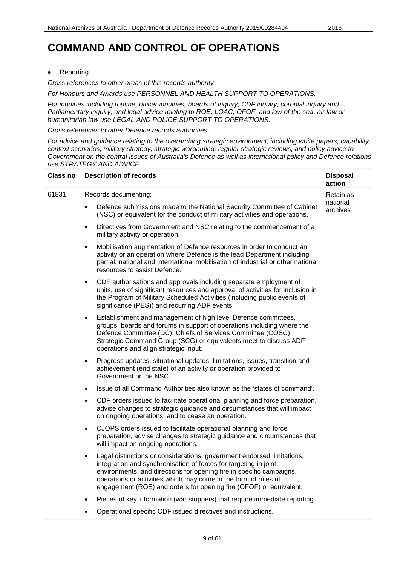• Reporting.

*Cross references to other areas of this records authority*

*For Honours and Awards use PERSONNEL AND HEALTH SUPPORT TO OPERATIONS.*

*For inquiries including routine, officer inquiries, boards of inquiry, CDF inquiry, coronial inquiry and Parliamentary inquiry; and legal advice relating to ROE, LOAC, OFOF, and law of the sea, air law or humanitarian law use LEGAL AND POLICE SUPPORT TO OPERATIONS.*

*Cross references to other Defence records authorities*

*For advice and guidance relating to the overarching strategic environment, including white papers, capability context scenarios, military strategy, strategic wargaming, regular strategic reviews, and policy advice to Government on the central issues of Australia's Defence as well as international policy and Defence relations use STRATEGY AND ADVICE.*

| <b>Class no</b> | <b>Description of records</b>                                                                                                                                                                                                                                                                                                                                            | <b>Disposal</b><br>action         |
|-----------------|--------------------------------------------------------------------------------------------------------------------------------------------------------------------------------------------------------------------------------------------------------------------------------------------------------------------------------------------------------------------------|-----------------------------------|
| 61831           | Records documenting:<br>Defence submissions made to the National Security Committee of Cabinet<br>(NSC) or equivalent for the conduct of military activities and operations.                                                                                                                                                                                             | Retain as<br>national<br>archives |
|                 | Directives from Government and NSC relating to the commencement of a<br>$\bullet$<br>military activity or operation.                                                                                                                                                                                                                                                     |                                   |
|                 | Mobilisation augmentation of Defence resources in order to conduct an<br>$\bullet$<br>activity or an operation where Defence is the lead Department including<br>partial, national and international mobilisation of industrial or other national<br>resources to assist Defence.                                                                                        |                                   |
|                 | CDF authorisations and approvals including separate employment of<br>$\bullet$<br>units, use of significant resources and approval of activities for inclusion in<br>the Program of Military Scheduled Activities (including public events of<br>significance (PES)) and recurring ADF events.                                                                           |                                   |
|                 | Establishment and management of high level Defence committees,<br>$\bullet$<br>groups, boards and forums in support of operations including where the<br>Defence Committee (DC), Chiefs of Services Committee (COSC),<br>Strategic Command Group (SCG) or equivalents meet to discuss ADF<br>operations and align strategic input.                                       |                                   |
|                 | Progress updates, situational updates, limitations, issues, transition and<br>$\bullet$<br>achievement (end state) of an activity or operation provided to<br>Government or the NSC.                                                                                                                                                                                     |                                   |
|                 | Issue of all Command Authorities also known as the 'states of command'.<br>$\bullet$                                                                                                                                                                                                                                                                                     |                                   |
|                 | CDF orders issued to facilitate operational planning and force preparation,<br>$\bullet$<br>advise changes to strategic guidance and circumstances that will impact<br>on ongoing operations, and to cease an operation.                                                                                                                                                 |                                   |
|                 | CJOPS orders issued to facilitate operational planning and force<br>$\bullet$<br>preparation, advise changes to strategic guidance and circumstances that<br>will impact on ongoing operations.                                                                                                                                                                          |                                   |
|                 | Legal distinctions or considerations, government endorsed limitations,<br>$\bullet$<br>integration and synchronisation of forces for targeting in joint<br>environments, and directions for opening fire in specific campaigns,<br>operations or activities which may come in the form of rules of<br>engagement (ROE) and orders for opening fire (OFOF) or equivalent. |                                   |
|                 | Pieces of key information (war stoppers) that require immediate reporting.<br>$\bullet$                                                                                                                                                                                                                                                                                  |                                   |
|                 | Operational specific CDF issued directives and instructions.                                                                                                                                                                                                                                                                                                             |                                   |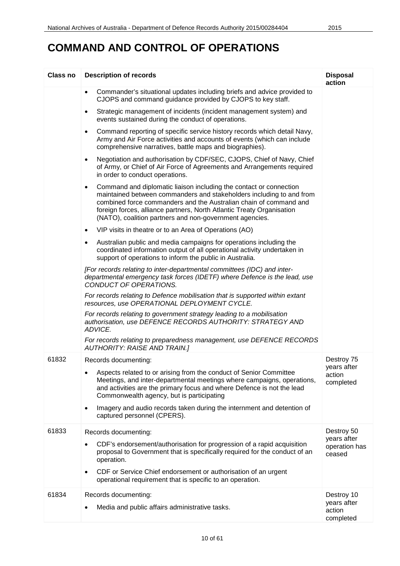| <b>Class no</b> | <b>Description of records</b>                                                                                                                                                                                                                                                                                                                                    | <b>Disposal</b><br>action              |
|-----------------|------------------------------------------------------------------------------------------------------------------------------------------------------------------------------------------------------------------------------------------------------------------------------------------------------------------------------------------------------------------|----------------------------------------|
|                 | Commander's situational updates including briefs and advice provided to<br>$\bullet$<br>CJOPS and command guidance provided by CJOPS to key staff.                                                                                                                                                                                                               |                                        |
|                 | Strategic management of incidents (incident management system) and<br>$\bullet$<br>events sustained during the conduct of operations.                                                                                                                                                                                                                            |                                        |
|                 | Command reporting of specific service history records which detail Navy,<br>$\bullet$<br>Army and Air Force activities and accounts of events (which can include<br>comprehensive narratives, battle maps and biographies).                                                                                                                                      |                                        |
|                 | Negotiation and authorisation by CDF/SEC, CJOPS, Chief of Navy, Chief<br>$\bullet$<br>of Army, or Chief of Air Force of Agreements and Arrangements required<br>in order to conduct operations.                                                                                                                                                                  |                                        |
|                 | Command and diplomatic liaison including the contact or connection<br>$\bullet$<br>maintained between commanders and stakeholders including to and from<br>combined force commanders and the Australian chain of command and<br>foreign forces, alliance partners, North Atlantic Treaty Organisation<br>(NATO), coalition partners and non-government agencies. |                                        |
|                 | VIP visits in theatre or to an Area of Operations (AO)<br>$\bullet$                                                                                                                                                                                                                                                                                              |                                        |
|                 | Australian public and media campaigns for operations including the<br>٠<br>coordinated information output of all operational activity undertaken in<br>support of operations to inform the public in Australia.                                                                                                                                                  |                                        |
|                 | [For records relating to inter-departmental committees (IDC) and inter-<br>departmental emergency task forces (IDETF) where Defence is the lead, use<br>CONDUCT OF OPERATIONS.                                                                                                                                                                                   |                                        |
|                 | For records relating to Defence mobilisation that is supported within extant<br>resources, use OPERATIONAL DEPLOYMENT CYCLE.                                                                                                                                                                                                                                     |                                        |
|                 | For records relating to government strategy leading to a mobilisation<br>authorisation, use DEFENCE RECORDS AUTHORITY: STRATEGY AND<br>ADVICE.                                                                                                                                                                                                                   |                                        |
|                 | For records relating to preparedness management, use DEFENCE RECORDS<br><b>AUTHORITY: RAISE AND TRAIN.]</b>                                                                                                                                                                                                                                                      |                                        |
| 61832           | Records documenting:                                                                                                                                                                                                                                                                                                                                             | Destroy 75                             |
|                 | Aspects related to or arising from the conduct of Senior Committee<br>Meetings, and inter-departmental meetings where campaigns, operations,<br>and activities are the primary focus and where Defence is not the lead<br>Commonwealth agency, but is participating                                                                                              | years after<br>action<br>completed     |
|                 | Imagery and audio records taken during the internment and detention of<br>$\bullet$<br>captured personnel (CPERS).                                                                                                                                                                                                                                               |                                        |
| 61833           | Records documenting:                                                                                                                                                                                                                                                                                                                                             | Destroy 50                             |
|                 | CDF's endorsement/authorisation for progression of a rapid acquisition<br>$\bullet$<br>proposal to Government that is specifically required for the conduct of an<br>operation.                                                                                                                                                                                  | years after<br>operation has<br>ceased |
|                 | CDF or Service Chief endorsement or authorisation of an urgent<br>$\bullet$<br>operational requirement that is specific to an operation.                                                                                                                                                                                                                         |                                        |
| 61834           | Records documenting:                                                                                                                                                                                                                                                                                                                                             | Destroy 10                             |
|                 | Media and public affairs administrative tasks.                                                                                                                                                                                                                                                                                                                   | years after<br>action<br>completed     |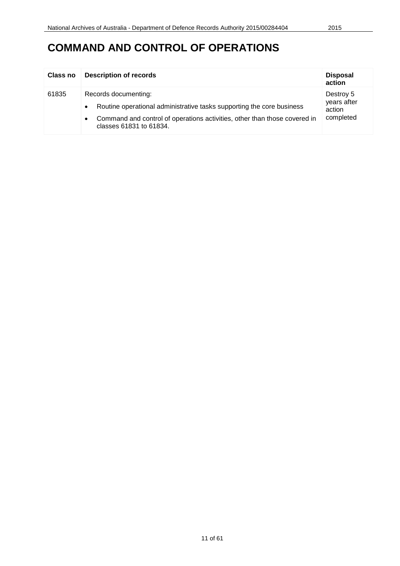| Class no | <b>Description of records</b>                                                                                                                                                                                                   | <b>Disposal</b><br>action                       |
|----------|---------------------------------------------------------------------------------------------------------------------------------------------------------------------------------------------------------------------------------|-------------------------------------------------|
| 61835    | Records documenting:<br>Routine operational administrative tasks supporting the core business<br>$\bullet$<br>Command and control of operations activities, other than those covered in<br>$\bullet$<br>classes 61831 to 61834. | Destroy 5<br>years after<br>action<br>completed |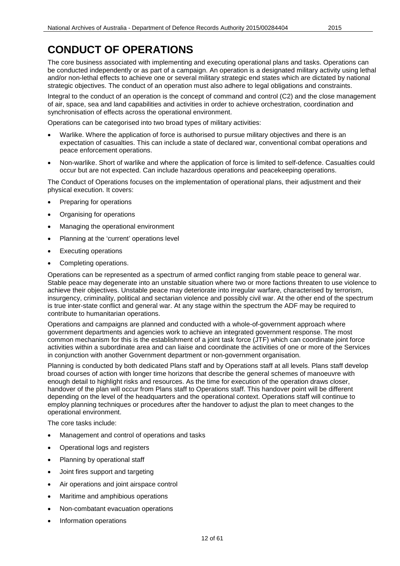The core business associated with implementing and executing operational plans and tasks. Operations can be conducted independently or as part of a campaign. An operation is a designated military activity using lethal and/or non-lethal effects to achieve one or several military strategic end states which are dictated by national strategic objectives. The conduct of an operation must also adhere to legal obligations and constraints.

Integral to the conduct of an operation is the concept of command and control (C2) and the close management of air, space, sea and land capabilities and activities in order to achieve orchestration, coordination and synchronisation of effects across the operational environment.

Operations can be categorised into two broad types of military activities:

- Warlike. Where the application of force is authorised to pursue military objectives and there is an expectation of casualties. This can include a state of declared war, conventional combat operations and peace enforcement operations.
- Non-warlike. Short of warlike and where the application of force is limited to self-defence. Casualties could occur but are not expected. Can include hazardous operations and peacekeeping operations.

The Conduct of Operations focuses on the implementation of operational plans, their adjustment and their physical execution. It covers:

- Preparing for operations
- Organising for operations
- Managing the operational environment
- Planning at the 'current' operations level
- **Executing operations**
- Completing operations.

Operations can be represented as a spectrum of armed conflict ranging from stable peace to general war. Stable peace may degenerate into an unstable situation where two or more factions threaten to use violence to achieve their objectives. Unstable peace may deteriorate into irregular warfare, characterised by terrorism, insurgency, criminality, political and sectarian violence and possibly civil war. At the other end of the spectrum is true inter-state conflict and general war. At any stage within the spectrum the ADF may be required to contribute to humanitarian operations.

Operations and campaigns are planned and conducted with a whole-of-government approach where government departments and agencies work to achieve an integrated government response. The most common mechanism for this is the establishment of a joint task force (JTF) which can coordinate joint force activities within a subordinate area and can liaise and coordinate the activities of one or more of the Services in conjunction with another Government department or non-government organisation.

Planning is conducted by both dedicated Plans staff and by Operations staff at all levels. Plans staff develop broad courses of action with longer time horizons that describe the general schemes of manoeuvre with enough detail to highlight risks and resources. As the time for execution of the operation draws closer, handover of the plan will occur from Plans staff to Operations staff. This handover point will be different depending on the level of the headquarters and the operational context. Operations staff will continue to employ planning techniques or procedures after the handover to adjust the plan to meet changes to the operational environment.

The core tasks include:

- Management and control of operations and tasks
- Operational logs and registers
- Planning by operational staff
- Joint fires support and targeting
- Air operations and joint airspace control
- Maritime and amphibious operations
- Non-combatant evacuation operations
- Information operations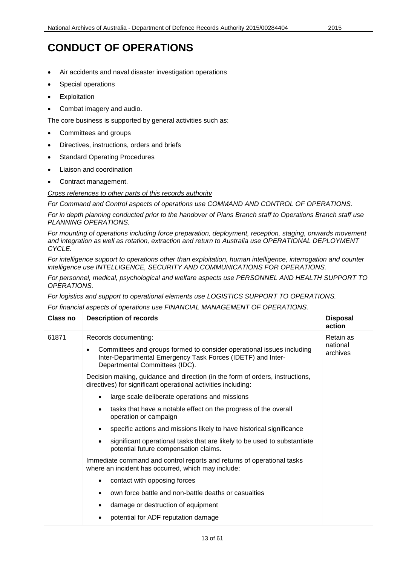- Air accidents and naval disaster investigation operations
- Special operations
- **Exploitation**
- Combat imagery and audio.

The core business is supported by general activities such as:

- Committees and groups
- Directives, instructions, orders and briefs
- **Standard Operating Procedures**
- Liaison and coordination
- Contract management.

*Cross references to other parts of this records authority*

*For Command and Control aspects of operations use COMMAND AND CONTROL OF OPERATIONS.*

*For in depth planning conducted prior to the handover of Plans Branch staff to Operations Branch staff use PLANNING OPERATIONS.*

*For mounting of operations including force preparation, deployment, reception, staging, onwards movement and integration as well as rotation, extraction and return to Australia use OPERATIONAL DEPLOYMENT CYCLE.*

*For intelligence support to operations other than exploitation, human intelligence, interrogation and counter intelligence use INTELLIGENCE, SECURITY AND COMMUNICATIONS FOR OPERATIONS.*

*For personnel, medical, psychological and welfare aspects use PERSONNEL AND HEALTH SUPPORT TO OPERATIONS.*

*For logistics and support to operational elements use LOGISTICS SUPPORT TO OPERATIONS.*

*For financial aspects of operations use FINANCIAL MANAGEMENT OF OPERATIONS.*

| Class no | <b>Description of records</b>                                                                                                                                                                  | <b>Disposal</b><br>action         |
|----------|------------------------------------------------------------------------------------------------------------------------------------------------------------------------------------------------|-----------------------------------|
| 61871    | Records documenting:<br>Committees and groups formed to consider operational issues including<br>Inter-Departmental Emergency Task Forces (IDETF) and Inter-<br>Departmental Committees (IDC). | Retain as<br>national<br>archives |
|          | Decision making, guidance and direction (in the form of orders, instructions,<br>directives) for significant operational activities including:                                                 |                                   |
|          | large scale deliberate operations and missions<br>$\bullet$                                                                                                                                    |                                   |
|          | tasks that have a notable effect on the progress of the overall<br>$\bullet$<br>operation or campaign                                                                                          |                                   |
|          | specific actions and missions likely to have historical significance<br>$\bullet$                                                                                                              |                                   |
|          | significant operational tasks that are likely to be used to substantiate<br>$\bullet$<br>potential future compensation claims.                                                                 |                                   |
|          | Immediate command and control reports and returns of operational tasks<br>where an incident has occurred, which may include:                                                                   |                                   |
|          | contact with opposing forces<br>$\bullet$                                                                                                                                                      |                                   |
|          | own force battle and non-battle deaths or casualties<br>$\bullet$                                                                                                                              |                                   |
|          | damage or destruction of equipment<br>٠                                                                                                                                                        |                                   |
|          | potential for ADF reputation damage                                                                                                                                                            |                                   |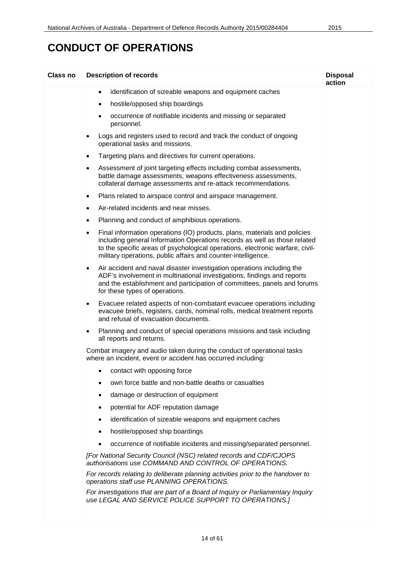| <b>Class no</b> | <b>Description of records</b>                                                                                                                                                                                                                                                                                 | <b>Disposal</b><br>action |
|-----------------|---------------------------------------------------------------------------------------------------------------------------------------------------------------------------------------------------------------------------------------------------------------------------------------------------------------|---------------------------|
|                 | identification of sizeable weapons and equipment caches<br>$\bullet$                                                                                                                                                                                                                                          |                           |
|                 | hostile/opposed ship boardings<br>٠                                                                                                                                                                                                                                                                           |                           |
|                 | occurrence of notifiable incidents and missing or separated<br>٠<br>personnel.                                                                                                                                                                                                                                |                           |
|                 | Logs and registers used to record and track the conduct of ongoing<br>٠<br>operational tasks and missions.                                                                                                                                                                                                    |                           |
|                 | Targeting plans and directives for current operations.<br>$\bullet$                                                                                                                                                                                                                                           |                           |
|                 | Assessment of joint targeting effects including combat assessments,<br>battle damage assessments, weapons effectiveness assessments,<br>collateral damage assessments and re-attack recommendations.                                                                                                          |                           |
|                 | Plans related to airspace control and airspace management.<br>$\bullet$                                                                                                                                                                                                                                       |                           |
|                 | Air-related incidents and near misses.<br>$\bullet$                                                                                                                                                                                                                                                           |                           |
|                 | Planning and conduct of amphibious operations.<br>$\bullet$                                                                                                                                                                                                                                                   |                           |
|                 | Final information operations (IO) products, plans, materials and policies<br>٠<br>including general Information Operations records as well as those related<br>to the specific areas of psychological operations, electronic warfare, civil-<br>military operations, public affairs and counter-intelligence. |                           |
|                 | Air accident and naval disaster investigation operations including the<br>$\bullet$<br>ADF's involvement in multinational investigations, findings and reports<br>and the establishment and participation of committees, panels and forums<br>for these types of operations.                                  |                           |
|                 | Evacuee related aspects of non-combatant evacuee operations including<br>$\bullet$<br>evacuee briefs, registers, cards, nominal rolls, medical treatment reports<br>and refusal of evacuation documents.                                                                                                      |                           |
|                 | Planning and conduct of special operations missions and task including<br>$\bullet$<br>all reports and returns.                                                                                                                                                                                               |                           |
|                 | Combat imagery and audio taken during the conduct of operational tasks<br>where an incident, event or accident has occurred including:                                                                                                                                                                        |                           |
|                 | contact with opposing force                                                                                                                                                                                                                                                                                   |                           |
|                 | own force battle and non-battle deaths or casualties                                                                                                                                                                                                                                                          |                           |
|                 | damage or destruction of equipment<br>$\bullet$                                                                                                                                                                                                                                                               |                           |
|                 | potential for ADF reputation damage<br>٠                                                                                                                                                                                                                                                                      |                           |
|                 | identification of sizeable weapons and equipment caches<br>$\bullet$                                                                                                                                                                                                                                          |                           |
|                 | hostile/opposed ship boardings<br>$\bullet$                                                                                                                                                                                                                                                                   |                           |
|                 | occurrence of notifiable incidents and missing/separated personnel.                                                                                                                                                                                                                                           |                           |
|                 | [For National Security Council (NSC) related records and CDF/CJOPS<br>authorisations use COMMAND AND CONTROL OF OPERATIONS.                                                                                                                                                                                   |                           |
|                 | For records relating to deliberate planning activities prior to the handover to<br>operations staff use PLANNING OPERATIONS.                                                                                                                                                                                  |                           |
|                 | For investigations that are part of a Board of Inquiry or Parliamentary Inquiry<br>use LEGAL AND SERVICE POLICE SUPPORT TO OPERATIONS.]                                                                                                                                                                       |                           |
|                 |                                                                                                                                                                                                                                                                                                               |                           |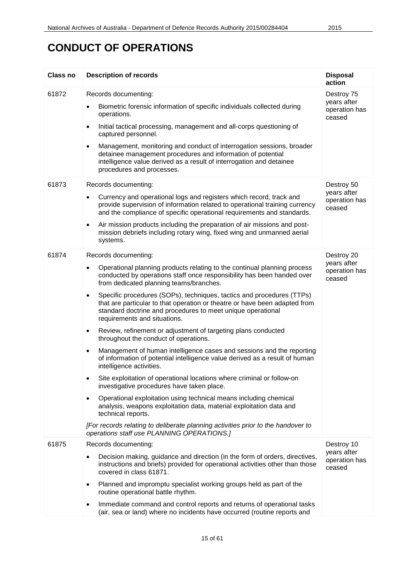| <b>Class no</b> | <b>Description of records</b>                                                                                                                                                                                                                                                                                                                                                                                                                                                                                                                                                                                                                                                                                                                                                                                                                                                                                                                                                                                                                                                                                                                                                                                                                                                       | <b>Disposal</b><br>action                            |
|-----------------|-------------------------------------------------------------------------------------------------------------------------------------------------------------------------------------------------------------------------------------------------------------------------------------------------------------------------------------------------------------------------------------------------------------------------------------------------------------------------------------------------------------------------------------------------------------------------------------------------------------------------------------------------------------------------------------------------------------------------------------------------------------------------------------------------------------------------------------------------------------------------------------------------------------------------------------------------------------------------------------------------------------------------------------------------------------------------------------------------------------------------------------------------------------------------------------------------------------------------------------------------------------------------------------|------------------------------------------------------|
| 61872           | Records documenting:<br>Biometric forensic information of specific individuals collected during<br>٠<br>operations.<br>Initial tactical processing, management and all-corps questioning of<br>$\bullet$<br>captured personnel.<br>Management, monitoring and conduct of interrogation sessions, broader<br>$\bullet$<br>detainee management procedures and information of potential<br>intelligence value derived as a result of interrogation and detainee<br>procedures and processes.                                                                                                                                                                                                                                                                                                                                                                                                                                                                                                                                                                                                                                                                                                                                                                                           | Destroy 75<br>years after<br>operation has<br>ceased |
| 61873           | Records documenting:<br>Currency and operational logs and registers which record, track and<br>$\bullet$<br>provide supervision of information related to operational training currency<br>and the compliance of specific operational requirements and standards.<br>Air mission products including the preparation of air missions and post-<br>$\bullet$<br>mission debriefs including rotary wing, fixed wing and unmanned aerial<br>systems.                                                                                                                                                                                                                                                                                                                                                                                                                                                                                                                                                                                                                                                                                                                                                                                                                                    | Destroy 50<br>years after<br>operation has<br>ceased |
| 61874           | Records documenting:<br>Operational planning products relating to the continual planning process<br>$\bullet$<br>conducted by operations staff once responsibility has been handed over<br>from dedicated planning teams/branches.<br>Specific procedures (SOPs), techniques, tactics and procedures (TTPs)<br>$\bullet$<br>that are particular to that operation or theatre or have been adapted from<br>standard doctrine and procedures to meet unique operational<br>requirements and situations.<br>Review, refinement or adjustment of targeting plans conducted<br>$\bullet$<br>throughout the conduct of operations.<br>Management of human intelligence cases and sessions and the reporting<br>$\bullet$<br>of information of potential intelligence value derived as a result of human<br>intelligence activities.<br>Site exploitation of operational locations where criminal or follow-on<br>$\bullet$<br>investigative procedures have taken place.<br>Operational exploitation using technical means including chemical<br>$\bullet$<br>analysis, weapons exploitation data, material exploitation data and<br>technical reports.<br>[For records relating to deliberate planning activities prior to the handover to<br>operations staff use PLANNING OPERATIONS.] | Destroy 20<br>years after<br>operation has<br>ceased |
| 61875           | Records documenting:<br>Decision making, guidance and direction (in the form of orders, directives,<br>$\bullet$<br>instructions and briefs) provided for operational activities other than those<br>covered in class 61871.<br>Planned and impromptu specialist working groups held as part of the<br>$\bullet$<br>routine operational battle rhythm.<br>Immediate command and control reports and returns of operational tasks<br>$\bullet$<br>(air, sea or land) where no incidents have occurred (routine reports and                                                                                                                                                                                                                                                                                                                                                                                                                                                                                                                                                                                                                                                                                                                                                           | Destroy 10<br>years after<br>operation has<br>ceased |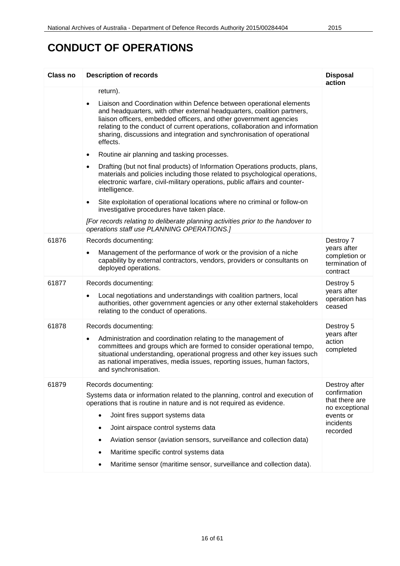| <b>Class no</b> | <b>Description of records</b>                                                                                                                                                                                                                                                                                                                                                                             | <b>Disposal</b><br>action                                  |
|-----------------|-----------------------------------------------------------------------------------------------------------------------------------------------------------------------------------------------------------------------------------------------------------------------------------------------------------------------------------------------------------------------------------------------------------|------------------------------------------------------------|
|                 | return).                                                                                                                                                                                                                                                                                                                                                                                                  |                                                            |
|                 | Liaison and Coordination within Defence between operational elements<br>$\bullet$<br>and headquarters, with other external headquarters, coalition partners,<br>liaison officers, embedded officers, and other government agencies<br>relating to the conduct of current operations, collaboration and information<br>sharing, discussions and integration and synchronisation of operational<br>effects. |                                                            |
|                 | Routine air planning and tasking processes.<br>$\bullet$                                                                                                                                                                                                                                                                                                                                                  |                                                            |
|                 | Drafting (but not final products) of Information Operations products, plans,<br>$\bullet$<br>materials and policies including those related to psychological operations,<br>electronic warfare, civil-military operations, public affairs and counter-<br>intelligence.                                                                                                                                   |                                                            |
|                 | Site exploitation of operational locations where no criminal or follow-on<br>$\bullet$<br>investigative procedures have taken place.                                                                                                                                                                                                                                                                      |                                                            |
|                 | [For records relating to deliberate planning activities prior to the handover to<br>operations staff use PLANNING OPERATIONS.]                                                                                                                                                                                                                                                                            |                                                            |
| 61876           | Records documenting:                                                                                                                                                                                                                                                                                                                                                                                      | Destroy 7                                                  |
|                 | Management of the performance of work or the provision of a niche<br>$\bullet$<br>capability by external contractors, vendors, providers or consultants on<br>deployed operations.                                                                                                                                                                                                                        | years after<br>completion or<br>termination of<br>contract |
| 61877           | Records documenting:                                                                                                                                                                                                                                                                                                                                                                                      | Destroy 5                                                  |
|                 | Local negotiations and understandings with coalition partners, local<br>٠<br>authorities, other government agencies or any other external stakeholders<br>relating to the conduct of operations.                                                                                                                                                                                                          | years after<br>operation has<br>ceased                     |
| 61878           | Records documenting:                                                                                                                                                                                                                                                                                                                                                                                      | Destroy 5                                                  |
|                 | Administration and coordination relating to the management of<br>$\bullet$<br>committees and groups which are formed to consider operational tempo,<br>situational understanding, operational progress and other key issues such<br>as national imperatives, media issues, reporting issues, human factors,<br>and synchronisation.                                                                       | years after<br>action<br>completed                         |
| 61879           | Records documenting:                                                                                                                                                                                                                                                                                                                                                                                      | Destroy after                                              |
|                 | Systems data or information related to the planning, control and execution of<br>operations that is routine in nature and is not required as evidence.                                                                                                                                                                                                                                                    | confirmation<br>that there are<br>no exceptional           |
|                 | Joint fires support systems data<br>$\bullet$                                                                                                                                                                                                                                                                                                                                                             | events or<br>incidents                                     |
|                 | Joint airspace control systems data                                                                                                                                                                                                                                                                                                                                                                       | recorded                                                   |
|                 | Aviation sensor (aviation sensors, surveillance and collection data)                                                                                                                                                                                                                                                                                                                                      |                                                            |
|                 | Maritime specific control systems data                                                                                                                                                                                                                                                                                                                                                                    |                                                            |
|                 | Maritime sensor (maritime sensor, surveillance and collection data).                                                                                                                                                                                                                                                                                                                                      |                                                            |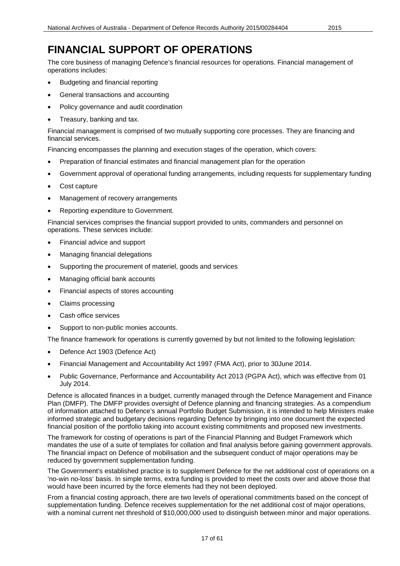The core business of managing Defence's financial resources for operations. Financial management of operations includes:

- Budgeting and financial reporting
- General transactions and accounting
- Policy governance and audit coordination
- Treasury, banking and tax.

Financial management is comprised of two mutually supporting core processes. They are financing and financial services.

Financing encompasses the planning and execution stages of the operation, which covers:

- Preparation of financial estimates and financial management plan for the operation
- Government approval of operational funding arrangements, including requests for supplementary funding
- Cost capture
- Management of recovery arrangements
- Reporting expenditure to Government.

Financial services comprises the financial support provided to units, commanders and personnel on operations. These services include:

- Financial advice and support
- Managing financial delegations
- Supporting the procurement of materiel, goods and services
- Managing official bank accounts
- Financial aspects of stores accounting
- Claims processing
- Cash office services
- Support to non-public monies accounts.

The finance framework for operations is currently governed by but not limited to the following legislation:

- Defence Act 1903 (Defence Act)
- Financial Management and Accountability Act 1997 (FMA Act), prior to 30June 2014.
- Public Governance, Performance and Accountability Act 2013 (PGPA Act), which was effective from 01 July 2014.

Defence is allocated finances in a budget, currently managed through the Defence Management and Finance Plan (DMFP). The DMFP provides oversight of Defence planning and financing strategies. As a compendium of information attached to Defence's annual Portfolio Budget Submission, it is intended to help Ministers make informed strategic and budgetary decisions regarding Defence by bringing into one document the expected financial position of the portfolio taking into account existing commitments and proposed new investments.

The framework for costing of operations is part of the Financial Planning and Budget Framework which mandates the use of a suite of templates for collation and final analysis before gaining government approvals. The financial impact on Defence of mobilisation and the subsequent conduct of major operations may be reduced by government supplementation funding.

The Government's established practice is to supplement Defence for the net additional cost of operations on a 'no-win no-loss' basis. In simple terms, extra funding is provided to meet the costs over and above those that would have been incurred by the force elements had they not been deployed.

From a financial costing approach, there are two levels of operational commitments based on the concept of supplementation funding. Defence receives supplementation for the net additional cost of major operations, with a nominal current net threshold of \$10,000,000 used to distinguish between minor and major operations.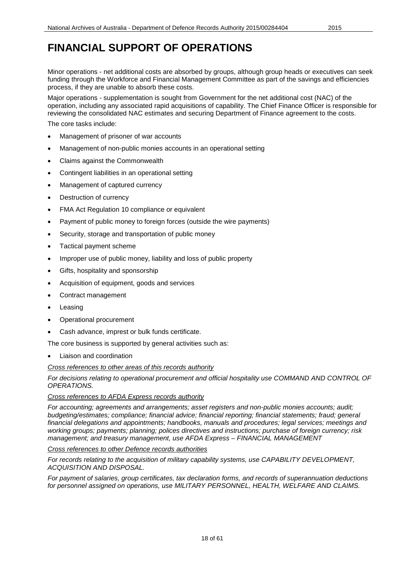Minor operations - net additional costs are absorbed by groups, although group heads or executives can seek funding through the Workforce and Financial Management Committee as part of the savings and efficiencies process, if they are unable to absorb these costs.

Major operations - supplementation is sought from Government for the net additional cost (NAC) of the operation, including any associated rapid acquisitions of capability. The Chief Finance Officer is responsible for reviewing the consolidated NAC estimates and securing Department of Finance agreement to the costs.

The core tasks include:

- Management of prisoner of war accounts
- Management of non-public monies accounts in an operational setting
- Claims against the Commonwealth
- Contingent liabilities in an operational setting
- Management of captured currency
- Destruction of currency
- FMA Act Regulation 10 compliance or equivalent
- Payment of public money to foreign forces (outside the wire payments)
- Security, storage and transportation of public money
- Tactical payment scheme
- Improper use of public money, liability and loss of public property
- Gifts, hospitality and sponsorship
- Acquisition of equipment, goods and services
- Contract management
- **Leasing**
- Operational procurement
- Cash advance, imprest or bulk funds certificate.

The core business is supported by general activities such as:

Liaison and coordination

*Cross references to other areas of this records authority*

*For decisions relating to operational procurement and official hospitality use COMMAND AND CONTROL OF OPERATIONS.*

#### *Cross references to AFDA Express records authority*

*For accounting; agreements and arrangements; asset registers and non-public monies accounts; audit; budgeting/estimates; compliance; financial advice; financial reporting; financial statements; fraud; general financial delegations and appointments; handbooks, manuals and procedures; legal services; meetings and working groups; payments; planning; polices directives and instructions; purchase of foreign currency; risk management; and treasury management, use AFDA Express – FINANCIAL MANAGEMENT*

*Cross references to other Defence records authorities*

*For records relating to the acquisition of military capability systems, use CAPABILITY DEVELOPMENT, ACQUISITION AND DISPOSAL.*

*For payment of salaries, group certificates, tax declaration forms, and records of superannuation deductions for personnel assigned on operations, use MILITARY PERSONNEL, HEALTH, WELFARE AND CLAIMS.*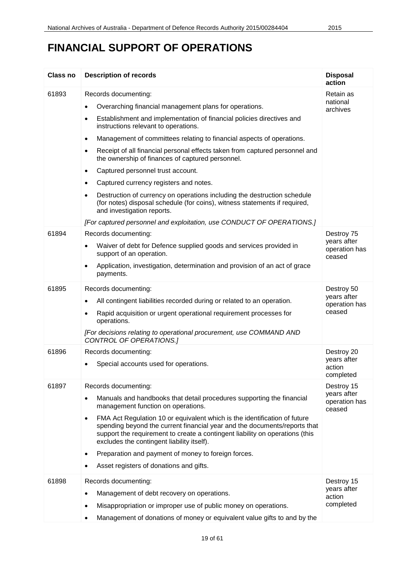| Class no | <b>Description of records</b>                                                                                                                                                                                                                                                                                                                                                                                                                                                                                                                                                                                                                                                                                                                                                                                                | <b>Disposal</b><br>action                            |
|----------|------------------------------------------------------------------------------------------------------------------------------------------------------------------------------------------------------------------------------------------------------------------------------------------------------------------------------------------------------------------------------------------------------------------------------------------------------------------------------------------------------------------------------------------------------------------------------------------------------------------------------------------------------------------------------------------------------------------------------------------------------------------------------------------------------------------------------|------------------------------------------------------|
| 61893    | Records documenting:<br>Overarching financial management plans for operations.<br>Establishment and implementation of financial policies directives and<br>$\bullet$<br>instructions relevant to operations.<br>Management of committees relating to financial aspects of operations.<br>$\bullet$<br>Receipt of all financial personal effects taken from captured personnel and<br>$\bullet$<br>the ownership of finances of captured personnel.<br>Captured personnel trust account.<br>$\bullet$<br>Captured currency registers and notes.<br>$\bullet$<br>Destruction of currency on operations including the destruction schedule<br>(for notes) disposal schedule (for coins), witness statements if required,<br>and investigation reports.<br>[For captured personnel and exploitation, use CONDUCT OF OPERATIONS.] | Retain as<br>national<br>archives                    |
| 61894    | Records documenting:<br>Waiver of debt for Defence supplied goods and services provided in<br>$\bullet$<br>support of an operation.<br>Application, investigation, determination and provision of an act of grace<br>payments.                                                                                                                                                                                                                                                                                                                                                                                                                                                                                                                                                                                               | Destroy 75<br>years after<br>operation has<br>ceased |
| 61895    | Records documenting:<br>All contingent liabilities recorded during or related to an operation.<br>$\bullet$<br>Rapid acquisition or urgent operational requirement processes for<br>$\bullet$<br>operations.<br>[For decisions relating to operational procurement, use COMMAND AND<br>CONTROL OF OPERATIONS.]                                                                                                                                                                                                                                                                                                                                                                                                                                                                                                               | Destroy 50<br>years after<br>operation has<br>ceased |
| 61896    | Records documenting:<br>Special accounts used for operations.<br>$\bullet$                                                                                                                                                                                                                                                                                                                                                                                                                                                                                                                                                                                                                                                                                                                                                   | Destroy 20<br>years after<br>action<br>completed     |
| 61897    | Records documenting:<br>Manuals and handbooks that detail procedures supporting the financial<br>$\bullet$<br>management function on operations.<br>FMA Act Regulation 10 or equivalent which is the identification of future<br>$\bullet$<br>spending beyond the current financial year and the documents/reports that<br>support the requirement to create a contingent liability on operations (this<br>excludes the contingent liability itself).<br>Preparation and payment of money to foreign forces.<br>$\bullet$<br>Asset registers of donations and gifts.                                                                                                                                                                                                                                                         | Destroy 15<br>years after<br>operation has<br>ceased |
| 61898    | Records documenting:<br>Management of debt recovery on operations.<br>$\bullet$<br>Misappropriation or improper use of public money on operations.<br>$\bullet$<br>Management of donations of money or equivalent value gifts to and by the<br>$\bullet$                                                                                                                                                                                                                                                                                                                                                                                                                                                                                                                                                                     | Destroy 15<br>years after<br>action<br>completed     |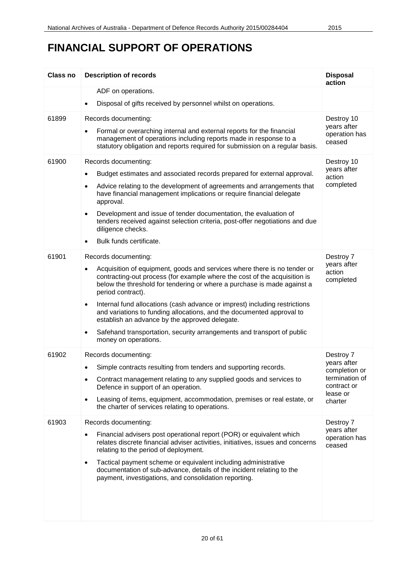| <b>Class no</b> | <b>Description of records</b>                                                                                                                                                                                                                                                                                                                                                                                                                                                                                                                                                                                                   | <b>Disposal</b><br>action                                                                         |
|-----------------|---------------------------------------------------------------------------------------------------------------------------------------------------------------------------------------------------------------------------------------------------------------------------------------------------------------------------------------------------------------------------------------------------------------------------------------------------------------------------------------------------------------------------------------------------------------------------------------------------------------------------------|---------------------------------------------------------------------------------------------------|
|                 | ADF on operations.                                                                                                                                                                                                                                                                                                                                                                                                                                                                                                                                                                                                              |                                                                                                   |
|                 | Disposal of gifts received by personnel whilst on operations.                                                                                                                                                                                                                                                                                                                                                                                                                                                                                                                                                                   |                                                                                                   |
| 61899           | Records documenting:<br>Formal or overarching internal and external reports for the financial<br>management of operations including reports made in response to a<br>statutory obligation and reports required for submission on a regular basis.                                                                                                                                                                                                                                                                                                                                                                               | Destroy 10<br>years after<br>operation has<br>ceased                                              |
| 61900           | Records documenting:<br>Budget estimates and associated records prepared for external approval.<br>$\bullet$<br>Advice relating to the development of agreements and arrangements that<br>$\bullet$<br>have financial management implications or require financial delegate<br>approval.<br>Development and issue of tender documentation, the evaluation of<br>$\bullet$<br>tenders received against selection criteria, post-offer negotiations and due<br>diligence checks.<br>Bulk funds certificate.                                                                                                                       | Destroy 10<br>years after<br>action<br>completed                                                  |
| 61901           | Records documenting:<br>Acquisition of equipment, goods and services where there is no tender or<br>$\bullet$<br>contracting-out process (for example where the cost of the acquisition is<br>below the threshold for tendering or where a purchase is made against a<br>period contract).<br>Internal fund allocations (cash advance or imprest) including restrictions<br>$\bullet$<br>and variations to funding allocations, and the documented approval to<br>establish an advance by the approved delegate.<br>Safehand transportation, security arrangements and transport of public<br>$\bullet$<br>money on operations. | Destroy 7<br>years after<br>action<br>completed                                                   |
| 61902           | Records documenting:<br>Simple contracts resulting from tenders and supporting records.<br>٠<br>Contract management relating to any supplied goods and services to<br>$\bullet$<br>Defence in support of an operation.<br>Leasing of items, equipment, accommodation, premises or real estate, or<br>$\bullet$<br>the charter of services relating to operations.                                                                                                                                                                                                                                                               | Destroy 7<br>years after<br>completion or<br>termination of<br>contract or<br>lease or<br>charter |
| 61903           | Records documenting:<br>Financial advisers post operational report (POR) or equivalent which<br>$\bullet$<br>relates discrete financial adviser activities, initiatives, issues and concerns<br>relating to the period of deployment.<br>Tactical payment scheme or equivalent including administrative<br>٠<br>documentation of sub-advance, details of the incident relating to the<br>payment, investigations, and consolidation reporting.                                                                                                                                                                                  | Destroy 7<br>years after<br>operation has<br>ceased                                               |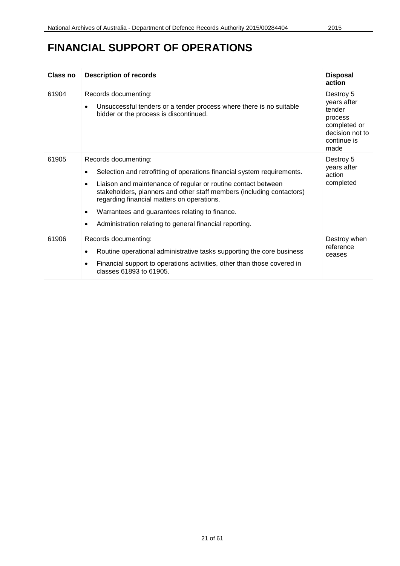| Class no | <b>Description of records</b>                                                                                                                                                                                                                                                                                                                                                                                                               | <b>Disposal</b><br>action                                                                               |
|----------|---------------------------------------------------------------------------------------------------------------------------------------------------------------------------------------------------------------------------------------------------------------------------------------------------------------------------------------------------------------------------------------------------------------------------------------------|---------------------------------------------------------------------------------------------------------|
| 61904    | Records documenting:<br>Unsuccessful tenders or a tender process where there is no suitable<br>$\bullet$<br>bidder or the process is discontinued.                                                                                                                                                                                                                                                                                          | Destroy 5<br>years after<br>tender<br>process<br>completed or<br>decision not to<br>continue is<br>made |
| 61905    | Records documenting:<br>Selection and retrofitting of operations financial system requirements.<br>Liaison and maintenance of regular or routine contact between<br>$\bullet$<br>stakeholders, planners and other staff members (including contactors)<br>regarding financial matters on operations.<br>Warrantees and guarantees relating to finance.<br>$\bullet$<br>Administration relating to general financial reporting.<br>$\bullet$ | Destroy 5<br>years after<br>action<br>completed                                                         |
| 61906    | Records documenting:<br>Routine operational administrative tasks supporting the core business<br>$\bullet$<br>Financial support to operations activities, other than those covered in<br>$\bullet$<br>classes 61893 to 61905.                                                                                                                                                                                                               | Destroy when<br>reference<br>ceases                                                                     |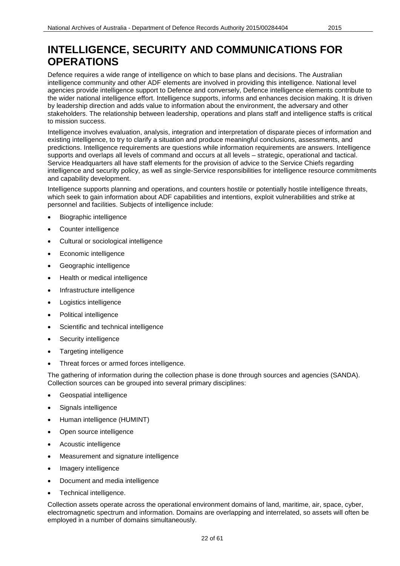Defence requires a wide range of intelligence on which to base plans and decisions. The Australian intelligence community and other ADF elements are involved in providing this intelligence. National level agencies provide intelligence support to Defence and conversely, Defence intelligence elements contribute to the wider national intelligence effort. Intelligence supports, informs and enhances decision making. It is driven by leadership direction and adds value to information about the environment, the adversary and other stakeholders. The relationship between leadership, operations and plans staff and intelligence staffs is critical to mission success.

Intelligence involves evaluation, analysis, integration and interpretation of disparate pieces of information and existing intelligence, to try to clarify a situation and produce meaningful conclusions, assessments, and predictions. Intelligence requirements are questions while information requirements are answers. Intelligence supports and overlaps all levels of command and occurs at all levels – strategic, operational and tactical. Service Headquarters all have staff elements for the provision of advice to the Service Chiefs regarding intelligence and security policy, as well as single-Service responsibilities for intelligence resource commitments and capability development.

Intelligence supports planning and operations, and counters hostile or potentially hostile intelligence threats, which seek to gain information about ADF capabilities and intentions, exploit vulnerabilities and strike at personnel and facilities. Subjects of intelligence include:

- Biographic intelligence
- Counter intelligence
- Cultural or sociological intelligence
- Economic intelligence
- Geographic intelligence
- Health or medical intelligence
- Infrastructure intelligence
- Logistics intelligence
- Political intelligence
- Scientific and technical intelligence
- Security intelligence
- Targeting intelligence
- Threat forces or armed forces intelligence.

The gathering of information during the collection phase is done through sources and agencies (SANDA). Collection sources can be grouped into several primary disciplines:

- Geospatial intelligence
- Signals intelligence
- Human intelligence (HUMINT)
- Open source intelligence
- Acoustic intelligence
- Measurement and signature intelligence
- Imagery intelligence
- Document and media intelligence
- Technical intelligence.

Collection assets operate across the operational environment domains of land, maritime, air, space, cyber, electromagnetic spectrum and information. Domains are overlapping and interrelated, so assets will often be employed in a number of domains simultaneously.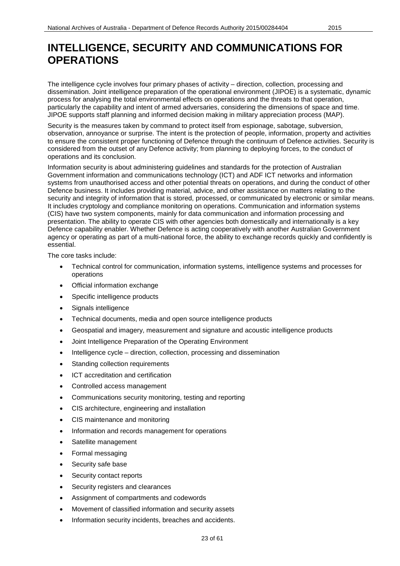The intelligence cycle involves four primary phases of activity – direction, collection, processing and dissemination. Joint intelligence preparation of the operational environment (JIPOE) is a systematic, dynamic process for analysing the total environmental effects on operations and the threats to that operation, particularly the capability and intent of armed adversaries, considering the dimensions of space and time. JIPOE supports staff planning and informed decision making in military appreciation process (MAP).

Security is the measures taken by command to protect itself from espionage, sabotage, subversion, observation, annoyance or surprise. The intent is the protection of people, information, property and activities to ensure the consistent proper functioning of Defence through the continuum of Defence activities. Security is considered from the outset of any Defence activity; from planning to deploying forces, to the conduct of operations and its conclusion.

Information security is about administering guidelines and standards for the protection of Australian Government information and communications technology (ICT) and ADF ICT networks and information systems from unauthorised access and other potential threats on operations, and during the conduct of other Defence business. It includes providing material, advice, and other assistance on matters relating to the security and integrity of information that is stored, processed, or communicated by electronic or similar means. It includes cryptology and compliance monitoring on operations. Communication and information systems (CIS) have two system components, mainly for data communication and information processing and presentation. The ability to operate CIS with other agencies both domestically and internationally is a key Defence capability enabler. Whether Defence is acting cooperatively with another Australian Government agency or operating as part of a multi-national force, the ability to exchange records quickly and confidently is essential.

The core tasks include:

- Technical control for communication, information systems, intelligence systems and processes for operations
- Official information exchange
- Specific intelligence products
- Signals intelligence
- Technical documents, media and open source intelligence products
- Geospatial and imagery, measurement and signature and acoustic intelligence products
- Joint Intelligence Preparation of the Operating Environment
- Intelligence cycle direction, collection, processing and dissemination
- Standing collection requirements
- ICT accreditation and certification
- Controlled access management
- Communications security monitoring, testing and reporting
- CIS architecture, engineering and installation
- CIS maintenance and monitoring
- Information and records management for operations
- Satellite management
- Formal messaging
- Security safe base
- Security contact reports
- Security registers and clearances
- Assignment of compartments and codewords
- Movement of classified information and security assets
- Information security incidents, breaches and accidents.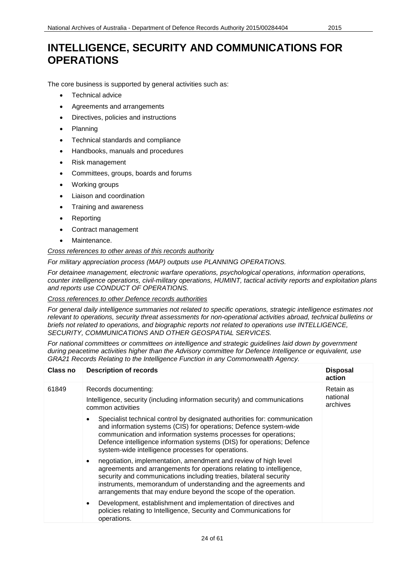The core business is supported by general activities such as:

- Technical advice
- Agreements and arrangements
- Directives, policies and instructions
- Planning
- Technical standards and compliance
- Handbooks, manuals and procedures
- Risk management
- Committees, groups, boards and forums
- Working groups
- Liaison and coordination
- Training and awareness
- **Reporting**
- Contract management
- Maintenance.

*Cross references to other areas of this records authority*

*For military appreciation process (MAP) outputs use PLANNING OPERATIONS.*

*For detainee management, electronic warfare operations, psychological operations, information operations, counter intelligence operations, civil-military operations, HUMINT, tactical activity reports and exploitation plans and reports use CONDUCT OF OPERATIONS.*

*Cross references to other Defence records authorities*

For general daily intelligence summaries not related to specific operations, strategic intelligence estimates not *relevant to operations, security threat assessments for non-operational activities abroad, technical bulletins or briefs not related to operations, and biographic reports not related to operations use INTELLIGENCE, SECURITY, COMMUNICATIONS AND OTHER GEOSPATIAL SERVICES.*

*For national committees or committees on intelligence and strategic guidelines laid down by government during peacetime activities higher than the Advisory committee for Defence Intelligence or equivalent, use GRA21 Records Relating to the Intelligence Function in any Commonwealth Agency.*

| Class no | <b>Description of records</b>                                                                                                                                                                                                                                                                                                                                    | <b>Disposal</b><br>action |
|----------|------------------------------------------------------------------------------------------------------------------------------------------------------------------------------------------------------------------------------------------------------------------------------------------------------------------------------------------------------------------|---------------------------|
| 61849    | Records documenting:                                                                                                                                                                                                                                                                                                                                             | Retain as                 |
|          | Intelligence, security (including information security) and communications<br>common activities                                                                                                                                                                                                                                                                  | national<br>archives      |
|          | Specialist technical control by designated authorities for: communication<br>$\bullet$<br>and information systems (CIS) for operations; Defence system-wide<br>communication and information systems processes for operations;<br>Defence intelligence information systems (DIS) for operations; Defence<br>system-wide intelligence processes for operations.   |                           |
|          | negotiation, implementation, amendment and review of high level<br>$\bullet$<br>agreements and arrangements for operations relating to intelligence,<br>security and communications including treaties, bilateral security<br>instruments, memorandum of understanding and the agreements and<br>arrangements that may endure beyond the scope of the operation. |                           |
|          | Development, establishment and implementation of directives and<br>$\bullet$<br>policies relating to Intelligence, Security and Communications for<br>operations.                                                                                                                                                                                                |                           |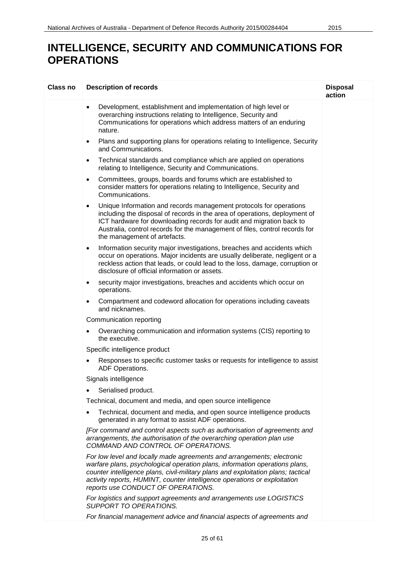| Class no | <b>Description of records</b>                                                                                                                                                                                                                                                                                                                                 | <b>Disposal</b><br>action |
|----------|---------------------------------------------------------------------------------------------------------------------------------------------------------------------------------------------------------------------------------------------------------------------------------------------------------------------------------------------------------------|---------------------------|
|          | Development, establishment and implementation of high level or<br>$\bullet$<br>overarching instructions relating to Intelligence, Security and<br>Communications for operations which address matters of an enduring<br>nature.                                                                                                                               |                           |
|          | Plans and supporting plans for operations relating to Intelligence, Security<br>$\bullet$<br>and Communications.                                                                                                                                                                                                                                              |                           |
|          | Technical standards and compliance which are applied on operations<br>$\bullet$<br>relating to Intelligence, Security and Communications.                                                                                                                                                                                                                     |                           |
|          | Committees, groups, boards and forums which are established to<br>$\bullet$<br>consider matters for operations relating to Intelligence, Security and<br>Communications.                                                                                                                                                                                      |                           |
|          | Unique Information and records management protocols for operations<br>$\bullet$<br>including the disposal of records in the area of operations, deployment of<br>ICT hardware for downloading records for audit and migration back to<br>Australia, control records for the management of files, control records for<br>the management of artefacts.          |                           |
|          | Information security major investigations, breaches and accidents which<br>$\bullet$<br>occur on operations. Major incidents are usually deliberate, negligent or a<br>reckless action that leads, or could lead to the loss, damage, corruption or<br>disclosure of official information or assets.                                                          |                           |
|          | security major investigations, breaches and accidents which occur on<br>$\bullet$<br>operations.                                                                                                                                                                                                                                                              |                           |
|          | Compartment and codeword allocation for operations including caveats<br>and nicknames.                                                                                                                                                                                                                                                                        |                           |
|          | Communication reporting                                                                                                                                                                                                                                                                                                                                       |                           |
|          | Overarching communication and information systems (CIS) reporting to<br>the executive.                                                                                                                                                                                                                                                                        |                           |
|          | Specific intelligence product                                                                                                                                                                                                                                                                                                                                 |                           |
|          | Responses to specific customer tasks or requests for intelligence to assist<br>ADF Operations.                                                                                                                                                                                                                                                                |                           |
|          | Signals intelligence                                                                                                                                                                                                                                                                                                                                          |                           |
|          | Serialised product.<br>$\bullet$                                                                                                                                                                                                                                                                                                                              |                           |
|          | Technical, document and media, and open source intelligence                                                                                                                                                                                                                                                                                                   |                           |
|          | Technical, document and media, and open source intelligence products<br>generated in any format to assist ADF operations.                                                                                                                                                                                                                                     |                           |
|          | [For command and control aspects such as authorisation of agreements and<br>arrangements, the authorisation of the overarching operation plan use<br>COMMAND AND CONTROL OF OPERATIONS.                                                                                                                                                                       |                           |
|          | For low level and locally made agreements and arrangements; electronic<br>warfare plans, psychological operation plans, information operations plans,<br>counter intelligence plans, civil-military plans and exploitation plans; tactical<br>activity reports, HUMINT, counter intelligence operations or exploitation<br>reports use CONDUCT OF OPERATIONS. |                           |
|          | For logistics and support agreements and arrangements use LOGISTICS<br>SUPPORT TO OPERATIONS.                                                                                                                                                                                                                                                                 |                           |
|          | For financial management advice and financial aspects of agreements and                                                                                                                                                                                                                                                                                       |                           |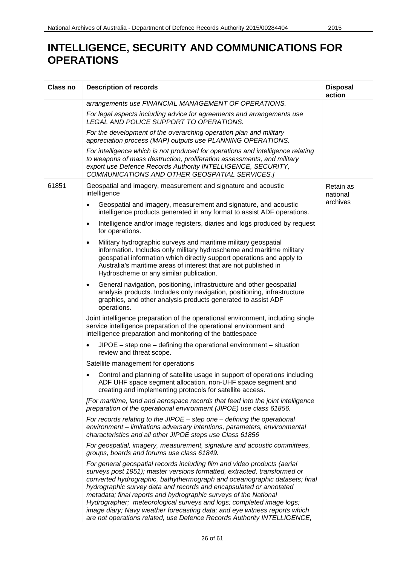| Class no | <b>Description of records</b>                                                                                                                                                                                                                                                                                                                                                                                                                                                                                                                                                                                | <b>Disposal</b><br>action |
|----------|--------------------------------------------------------------------------------------------------------------------------------------------------------------------------------------------------------------------------------------------------------------------------------------------------------------------------------------------------------------------------------------------------------------------------------------------------------------------------------------------------------------------------------------------------------------------------------------------------------------|---------------------------|
|          | arrangements use FINANCIAL MANAGEMENT OF OPERATIONS.                                                                                                                                                                                                                                                                                                                                                                                                                                                                                                                                                         |                           |
|          | For legal aspects including advice for agreements and arrangements use<br>LEGAL AND POLICE SUPPORT TO OPERATIONS.                                                                                                                                                                                                                                                                                                                                                                                                                                                                                            |                           |
|          | For the development of the overarching operation plan and military<br>appreciation process (MAP) outputs use PLANNING OPERATIONS.                                                                                                                                                                                                                                                                                                                                                                                                                                                                            |                           |
|          | For intelligence which is not produced for operations and intelligence relating<br>to weapons of mass destruction, proliferation assessments, and military<br>export use Defence Records Authority INTELLIGENCE, SECURITY,<br>COMMUNICATIONS AND OTHER GEOSPATIAL SERVICES.]                                                                                                                                                                                                                                                                                                                                 |                           |
| 61851    | Geospatial and imagery, measurement and signature and acoustic<br>intelligence                                                                                                                                                                                                                                                                                                                                                                                                                                                                                                                               | Retain as<br>national     |
|          | Geospatial and imagery, measurement and signature, and acoustic<br>intelligence products generated in any format to assist ADF operations.                                                                                                                                                                                                                                                                                                                                                                                                                                                                   | archives                  |
|          | Intelligence and/or image registers, diaries and logs produced by request<br>$\bullet$<br>for operations.                                                                                                                                                                                                                                                                                                                                                                                                                                                                                                    |                           |
|          | Military hydrographic surveys and maritime military geospatial<br>٠<br>information. Includes only military hydroscheme and maritime military<br>geospatial information which directly support operations and apply to<br>Australia's maritime areas of interest that are not published in<br>Hydroscheme or any similar publication.                                                                                                                                                                                                                                                                         |                           |
|          | General navigation, positioning, infrastructure and other geospatial<br>$\bullet$<br>analysis products. Includes only navigation, positioning, infrastructure<br>graphics, and other analysis products generated to assist ADF<br>operations.                                                                                                                                                                                                                                                                                                                                                                |                           |
|          | Joint intelligence preparation of the operational environment, including single<br>service intelligence preparation of the operational environment and<br>intelligence preparation and monitoring of the battlespace                                                                                                                                                                                                                                                                                                                                                                                         |                           |
|          | $JIPOE - step$ one $-$ defining the operational environment $-$ situation<br>review and threat scope.                                                                                                                                                                                                                                                                                                                                                                                                                                                                                                        |                           |
|          | Satellite management for operations                                                                                                                                                                                                                                                                                                                                                                                                                                                                                                                                                                          |                           |
|          | Control and planning of satellite usage in support of operations including<br>ADF UHF space segment allocation, non-UHF space segment and<br>creating and implementing protocols for satellite access.                                                                                                                                                                                                                                                                                                                                                                                                       |                           |
|          | [For maritime, land and aerospace records that feed into the joint intelligence<br>preparation of the operational environment (JIPOE) use class 61856.                                                                                                                                                                                                                                                                                                                                                                                                                                                       |                           |
|          | For records relating to the JIPOE $-$ step one $-$ defining the operational<br>environment - limitations adversary intentions, parameters, environmental<br>characteristics and all other JIPOE steps use Class 61856                                                                                                                                                                                                                                                                                                                                                                                        |                           |
|          | For geospatial, imagery, measurement, signature and acoustic committees,<br>groups, boards and forums use class 61849.                                                                                                                                                                                                                                                                                                                                                                                                                                                                                       |                           |
|          | For general geospatial records including film and video products (aerial<br>surveys post 1951); master versions formatted, extracted, transformed or<br>converted hydrographic, bathythermograph and oceanographic datasets; final<br>hydrographic survey data and records and encapsulated or annotated<br>metadata; final reports and hydrographic surveys of the National<br>Hydrographer; meteorological surveys and logs; completed image logs;<br>image diary; Navy weather forecasting data; and eye witness reports which<br>are not operations related, use Defence Records Authority INTELLIGENCE, |                           |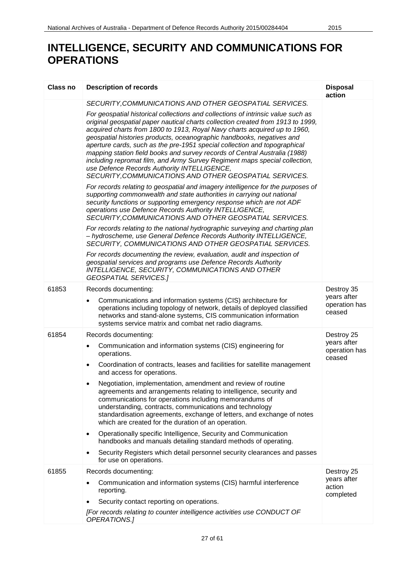| Class no | <b>Description of records</b>                                                                                                                                                                                                                                                                                                                                                                                                                                                                                                                                                                                                                                                | <b>Disposal</b><br>action              |
|----------|------------------------------------------------------------------------------------------------------------------------------------------------------------------------------------------------------------------------------------------------------------------------------------------------------------------------------------------------------------------------------------------------------------------------------------------------------------------------------------------------------------------------------------------------------------------------------------------------------------------------------------------------------------------------------|----------------------------------------|
|          | SECURITY, COMMUNICATIONS AND OTHER GEOSPATIAL SERVICES.                                                                                                                                                                                                                                                                                                                                                                                                                                                                                                                                                                                                                      |                                        |
|          | For geospatial historical collections and collections of intrinsic value such as<br>original geospatial paper nautical charts collection created from 1913 to 1999,<br>acquired charts from 1800 to 1913, Royal Navy charts acquired up to 1960,<br>geospatial histories products, oceanographic handbooks, negatives and<br>aperture cards, such as the pre-1951 special collection and topographical<br>mapping station field books and survey records of Central Australia (1988)<br>including repromat film, and Army Survey Regiment maps special collection,<br>use Defence Records Authority INTELLIGENCE,<br>SECURITY, COMMUNICATIONS AND OTHER GEOSPATIAL SERVICES. |                                        |
|          | For records relating to geospatial and imagery intelligence for the purposes of<br>supporting commonwealth and state authorities in carrying out national<br>security functions or supporting emergency response which are not ADF<br>operations use Defence Records Authority INTELLIGENCE,<br>SECURITY, COMMUNICATIONS AND OTHER GEOSPATIAL SERVICES.                                                                                                                                                                                                                                                                                                                      |                                        |
|          | For records relating to the national hydrographic surveying and charting plan<br>- hydroscheme, use General Defence Records Authority INTELLIGENCE,<br>SECURITY, COMMUNICATIONS AND OTHER GEOSPATIAL SERVICES.                                                                                                                                                                                                                                                                                                                                                                                                                                                               |                                        |
|          | For records documenting the review, evaluation, audit and inspection of<br>geospatial services and programs use Defence Records Authority<br>INTELLIGENCE, SECURITY, COMMUNICATIONS AND OTHER<br><b>GEOSPATIAL SERVICES.]</b>                                                                                                                                                                                                                                                                                                                                                                                                                                                |                                        |
| 61853    | Records documenting:                                                                                                                                                                                                                                                                                                                                                                                                                                                                                                                                                                                                                                                         | Destroy 35                             |
|          | Communications and information systems (CIS) architecture for<br>$\bullet$<br>operations including topology of network, details of deployed classified<br>networks and stand-alone systems, CIS communication information<br>systems service matrix and combat net radio diagrams.                                                                                                                                                                                                                                                                                                                                                                                           | years after<br>operation has<br>ceased |
| 61854    | Records documenting:                                                                                                                                                                                                                                                                                                                                                                                                                                                                                                                                                                                                                                                         | Destroy 25                             |
|          | Communication and information systems (CIS) engineering for<br>$\bullet$<br>operations.                                                                                                                                                                                                                                                                                                                                                                                                                                                                                                                                                                                      | years after<br>operation has<br>ceased |
|          | Coordination of contracts, leases and facilities for satellite management<br>$\bullet$<br>and access for operations.                                                                                                                                                                                                                                                                                                                                                                                                                                                                                                                                                         |                                        |
|          | Negotiation, implementation, amendment and review of routine<br>agreements and arrangements relating to intelligence, security and<br>communications for operations including memorandums of<br>understanding, contracts, communications and technology<br>standardisation agreements, exchange of letters, and exchange of notes<br>which are created for the duration of an operation.                                                                                                                                                                                                                                                                                     |                                        |
|          | Operationally specific Intelligence, Security and Communication<br>$\bullet$<br>handbooks and manuals detailing standard methods of operating.                                                                                                                                                                                                                                                                                                                                                                                                                                                                                                                               |                                        |
|          | Security Registers which detail personnel security clearances and passes<br>for use on operations.                                                                                                                                                                                                                                                                                                                                                                                                                                                                                                                                                                           |                                        |
| 61855    | Records documenting:                                                                                                                                                                                                                                                                                                                                                                                                                                                                                                                                                                                                                                                         | Destroy 25                             |
|          | Communication and information systems (CIS) harmful interference<br>٠<br>reporting.                                                                                                                                                                                                                                                                                                                                                                                                                                                                                                                                                                                          | years after<br>action<br>completed     |
|          | Security contact reporting on operations.                                                                                                                                                                                                                                                                                                                                                                                                                                                                                                                                                                                                                                    |                                        |
|          | [For records relating to counter intelligence activities use CONDUCT OF<br>OPERATIONS.]                                                                                                                                                                                                                                                                                                                                                                                                                                                                                                                                                                                      |                                        |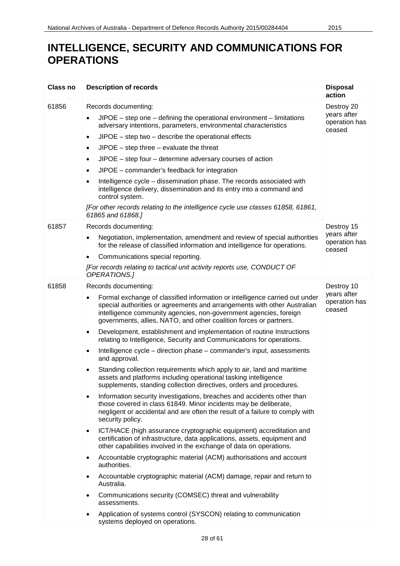| Class no | <b>Description of records</b>                                                                                                                                                                                                                                                                      | <b>Disposal</b><br>action              |
|----------|----------------------------------------------------------------------------------------------------------------------------------------------------------------------------------------------------------------------------------------------------------------------------------------------------|----------------------------------------|
| 61856    | Records documenting:                                                                                                                                                                                                                                                                               | Destroy 20                             |
|          | $JIPOE$ – step one – defining the operational environment – limitations<br>adversary intentions, parameters, environmental characteristics                                                                                                                                                         | years after<br>operation has<br>ceased |
|          | $JIPOE - step two - describe the operational effects$<br>$\bullet$                                                                                                                                                                                                                                 |                                        |
|          | $JIPOE - step$ three $-$ evaluate the threat<br>$\bullet$                                                                                                                                                                                                                                          |                                        |
|          | JIPOE - step four - determine adversary courses of action<br>$\bullet$                                                                                                                                                                                                                             |                                        |
|          | JIPOE - commander's feedback for integration<br>$\bullet$                                                                                                                                                                                                                                          |                                        |
|          | Intelligence cycle - dissemination phase. The records associated with<br>intelligence delivery, dissemination and its entry into a command and<br>control system.                                                                                                                                  |                                        |
|          | [For other records relating to the intelligence cycle use classes 61858, 61861,<br>61865 and 61868.]                                                                                                                                                                                               |                                        |
| 61857    | Records documenting:                                                                                                                                                                                                                                                                               | Destroy 15                             |
|          | Negotiation, implementation, amendment and review of special authorities<br>for the release of classified information and intelligence for operations.                                                                                                                                             | years after<br>operation has<br>ceased |
|          | Communications special reporting.<br>$\bullet$                                                                                                                                                                                                                                                     |                                        |
|          | [For records relating to tactical unit activity reports use, CONDUCT OF<br>OPERATIONS.]                                                                                                                                                                                                            |                                        |
| 61858    | Records documenting:                                                                                                                                                                                                                                                                               | Destroy 10                             |
|          | Formal exchange of classified information or intelligence carried out under<br>special authorities or agreements and arrangements with other Australian<br>intelligence community agencies, non-government agencies, foreign<br>governments, allies, NATO, and other coalition forces or partners. | years after<br>operation has<br>ceased |
|          | Development, establishment and implementation of routine Instructions<br>٠<br>relating to Intelligence, Security and Communications for operations.                                                                                                                                                |                                        |
|          | Intelligence cycle – direction phase – commander's input, assessments<br>and approval.                                                                                                                                                                                                             |                                        |
|          | Standing collection requirements which apply to air, land and maritime<br>assets and platforms including operational tasking intelligence<br>supplements, standing collection directives, orders and procedures.                                                                                   |                                        |
|          | Information security investigations, breaches and accidents other than<br>$\bullet$<br>those covered in class 61849. Minor incidents may be deliberate,<br>negligent or accidental and are often the result of a failure to comply with<br>security policy.                                        |                                        |
|          | ICT/HACE (high assurance cryptographic equipment) accreditation and<br>$\bullet$<br>certification of infrastructure, data applications, assets, equipment and<br>other capabilities involved in the exchange of data on operations.                                                                |                                        |
|          | Accountable cryptographic material (ACM) authorisations and account<br>$\bullet$<br>authorities.                                                                                                                                                                                                   |                                        |
|          | Accountable cryptographic material (ACM) damage, repair and return to<br>Australia.                                                                                                                                                                                                                |                                        |
|          | Communications security (COMSEC) threat and vulnerability<br>$\bullet$<br>assessments.                                                                                                                                                                                                             |                                        |
|          | Application of systems control (SYSCON) relating to communication<br>systems deployed on operations.                                                                                                                                                                                               |                                        |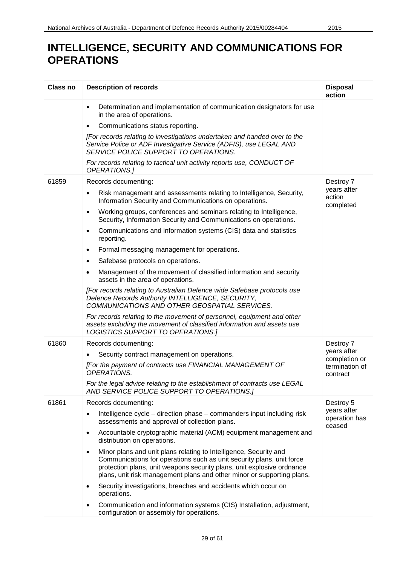| Class no | <b>Description of records</b>                                                                                                                                                                                                                                                                               | <b>Disposal</b><br>action              |
|----------|-------------------------------------------------------------------------------------------------------------------------------------------------------------------------------------------------------------------------------------------------------------------------------------------------------------|----------------------------------------|
|          | Determination and implementation of communication designators for use<br>$\bullet$<br>in the area of operations.                                                                                                                                                                                            |                                        |
|          | Communications status reporting.<br>٠                                                                                                                                                                                                                                                                       |                                        |
|          | [For records relating to investigations undertaken and handed over to the<br>Service Police or ADF Investigative Service (ADFIS), use LEGAL AND<br>SERVICE POLICE SUPPORT TO OPERATIONS.                                                                                                                    |                                        |
|          | For records relating to tactical unit activity reports use, CONDUCT OF<br>OPERATIONS.]                                                                                                                                                                                                                      |                                        |
| 61859    | Records documenting:                                                                                                                                                                                                                                                                                        | Destroy 7                              |
|          | Risk management and assessments relating to Intelligence, Security,<br>Information Security and Communications on operations.                                                                                                                                                                               | years after<br>action<br>completed     |
|          | Working groups, conferences and seminars relating to Intelligence,<br>$\bullet$<br>Security, Information Security and Communications on operations.                                                                                                                                                         |                                        |
|          | Communications and information systems (CIS) data and statistics<br>٠<br>reporting.                                                                                                                                                                                                                         |                                        |
|          | Formal messaging management for operations.<br>$\bullet$                                                                                                                                                                                                                                                    |                                        |
|          | Safebase protocols on operations.<br>٠                                                                                                                                                                                                                                                                      |                                        |
|          | Management of the movement of classified information and security<br>assets in the area of operations.                                                                                                                                                                                                      |                                        |
|          | [For records relating to Australian Defence wide Safebase protocols use<br>Defence Records Authority INTELLIGENCE, SECURITY,<br>COMMUNICATIONS AND OTHER GEOSPATIAL SERVICES.                                                                                                                               |                                        |
|          | For records relating to the movement of personnel, equipment and other<br>assets excluding the movement of classified information and assets use<br>LOGISTICS SUPPORT TO OPERATIONS.]                                                                                                                       |                                        |
| 61860    | Records documenting:                                                                                                                                                                                                                                                                                        | Destroy 7                              |
|          | Security contract management on operations.                                                                                                                                                                                                                                                                 | years after<br>completion or           |
|          | [For the payment of contracts use FINANCIAL MANAGEMENT OF<br>OPERATIONS.                                                                                                                                                                                                                                    | termination of<br>contract             |
|          | For the legal advice relating to the establishment of contracts use LEGAL<br>AND SERVICE POLICE SUPPORT TO OPERATIONS.]                                                                                                                                                                                     |                                        |
| 61861    | Records documenting:                                                                                                                                                                                                                                                                                        | Destroy 5                              |
|          | Intelligence cycle – direction phase – commanders input including risk<br>$\bullet$<br>assessments and approval of collection plans.                                                                                                                                                                        | years after<br>operation has<br>ceased |
|          | Accountable cryptographic material (ACM) equipment management and<br>$\bullet$<br>distribution on operations.                                                                                                                                                                                               |                                        |
|          | Minor plans and unit plans relating to Intelligence, Security and<br>$\bullet$<br>Communications for operations such as unit security plans, unit force<br>protection plans, unit weapons security plans, unit explosive ordnance<br>plans, unit risk management plans and other minor or supporting plans. |                                        |
|          | Security investigations, breaches and accidents which occur on<br>٠<br>operations.                                                                                                                                                                                                                          |                                        |
|          | Communication and information systems (CIS) Installation, adjustment,<br>configuration or assembly for operations.                                                                                                                                                                                          |                                        |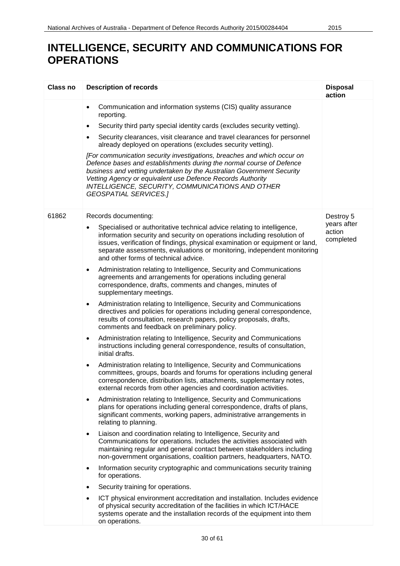| <b>Class no</b> | <b>Description of records</b>                                                                                                                                                                                                                                                                                                                                              | <b>Disposal</b><br>action          |
|-----------------|----------------------------------------------------------------------------------------------------------------------------------------------------------------------------------------------------------------------------------------------------------------------------------------------------------------------------------------------------------------------------|------------------------------------|
|                 | Communication and information systems (CIS) quality assurance<br>$\bullet$<br>reporting.                                                                                                                                                                                                                                                                                   |                                    |
|                 | Security third party special identity cards (excludes security vetting).                                                                                                                                                                                                                                                                                                   |                                    |
|                 | Security clearances, visit clearance and travel clearances for personnel<br>already deployed on operations (excludes security vetting).                                                                                                                                                                                                                                    |                                    |
|                 | [For communication security investigations, breaches and which occur on<br>Defence bases and establishments during the normal course of Defence<br>business and vetting undertaken by the Australian Government Security<br>Vetting Agency or equivalent use Defence Records Authority<br>INTELLIGENCE, SECURITY, COMMUNICATIONS AND OTHER<br><b>GEOSPATIAL SERVICES.]</b> |                                    |
| 61862           | Records documenting:                                                                                                                                                                                                                                                                                                                                                       | Destroy 5                          |
|                 | Specialised or authoritative technical advice relating to intelligence,<br>$\bullet$<br>information security and security on operations including resolution of<br>issues, verification of findings, physical examination or equipment or land,<br>separate assessments, evaluations or monitoring, independent monitoring<br>and other forms of technical advice.         | years after<br>action<br>completed |
|                 | Administration relating to Intelligence, Security and Communications<br>$\bullet$<br>agreements and arrangements for operations including general<br>correspondence, drafts, comments and changes, minutes of<br>supplementary meetings.                                                                                                                                   |                                    |
|                 | Administration relating to Intelligence, Security and Communications<br>$\bullet$<br>directives and policies for operations including general correspondence,<br>results of consultation, research papers, policy proposals, drafts,<br>comments and feedback on preliminary policy.                                                                                       |                                    |
|                 | Administration relating to Intelligence, Security and Communications<br>$\bullet$<br>instructions including general correspondence, results of consultation,<br>initial drafts.                                                                                                                                                                                            |                                    |
|                 | Administration relating to Intelligence, Security and Communications<br>$\bullet$<br>committees, groups, boards and forums for operations including general<br>correspondence, distribution lists, attachments, supplementary notes,<br>external records from other agencies and coordination activities.                                                                  |                                    |
|                 | Administration relating to Intelligence, Security and Communications<br>$\bullet$<br>plans for operations including general correspondence, drafts of plans,<br>significant comments, working papers, administrative arrangements in<br>relating to planning.                                                                                                              |                                    |
|                 | Liaison and coordination relating to Intelligence, Security and<br>$\bullet$<br>Communications for operations. Includes the activities associated with<br>maintaining regular and general contact between stakeholders including<br>non-government organisations, coalition partners, headquarters, NATO.                                                                  |                                    |
|                 | Information security cryptographic and communications security training<br>$\bullet$<br>for operations.                                                                                                                                                                                                                                                                    |                                    |
|                 | Security training for operations.                                                                                                                                                                                                                                                                                                                                          |                                    |
|                 | ICT physical environment accreditation and installation. Includes evidence<br>$\bullet$<br>of physical security accreditation of the facilities in which ICT/HACE<br>systems operate and the installation records of the equipment into them<br>on operations.                                                                                                             |                                    |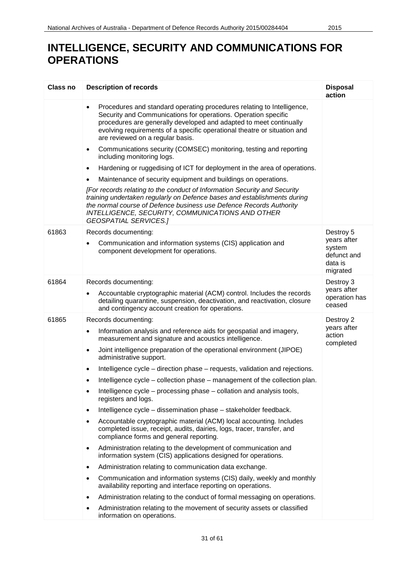| <b>Class no</b> | <b>Description of records</b>                                                                                                                                                                                                                                                                                                               | <b>Disposal</b><br>action                                                |
|-----------------|---------------------------------------------------------------------------------------------------------------------------------------------------------------------------------------------------------------------------------------------------------------------------------------------------------------------------------------------|--------------------------------------------------------------------------|
|                 | Procedures and standard operating procedures relating to Intelligence,<br>$\bullet$<br>Security and Communications for operations. Operation specific<br>procedures are generally developed and adapted to meet continually<br>evolving requirements of a specific operational theatre or situation and<br>are reviewed on a regular basis. |                                                                          |
|                 | Communications security (COMSEC) monitoring, testing and reporting<br>$\bullet$<br>including monitoring logs.                                                                                                                                                                                                                               |                                                                          |
|                 | Hardening or ruggedising of ICT for deployment in the area of operations.<br>$\bullet$                                                                                                                                                                                                                                                      |                                                                          |
|                 | Maintenance of security equipment and buildings on operations.<br>$\bullet$                                                                                                                                                                                                                                                                 |                                                                          |
|                 | [For records relating to the conduct of Information Security and Security<br>training undertaken regularly on Defence bases and establishments during<br>the normal course of Defence business use Defence Records Authority<br>INTELLIGENCE, SECURITY, COMMUNICATIONS AND OTHER<br><b>GEOSPATIAL SERVICES.]</b>                            |                                                                          |
| 61863           | Records documenting:<br>Communication and information systems (CIS) application and<br>component development for operations.                                                                                                                                                                                                                | Destroy 5<br>years after<br>system<br>defunct and<br>data is<br>migrated |
| 61864           | Records documenting:                                                                                                                                                                                                                                                                                                                        | Destroy 3                                                                |
|                 | Accountable cryptographic material (ACM) control. Includes the records<br>detailing quarantine, suspension, deactivation, and reactivation, closure<br>and contingency account creation for operations.                                                                                                                                     | years after<br>operation has<br>ceased                                   |
| 61865           | Records documenting:                                                                                                                                                                                                                                                                                                                        | Destroy 2                                                                |
|                 | Information analysis and reference aids for geospatial and imagery,<br>٠<br>measurement and signature and acoustics intelligence.                                                                                                                                                                                                           | years after<br>action<br>completed                                       |
|                 | Joint intelligence preparation of the operational environment (JIPOE)<br>٠<br>administrative support.                                                                                                                                                                                                                                       |                                                                          |
|                 | Intelligence cycle – direction phase – requests, validation and rejections.<br>$\bullet$                                                                                                                                                                                                                                                    |                                                                          |
|                 | Intelligence cycle – collection phase – management of the collection plan.                                                                                                                                                                                                                                                                  |                                                                          |
|                 | Intelligence cycle – processing phase – collation and analysis tools,<br>٠<br>registers and logs.                                                                                                                                                                                                                                           |                                                                          |
|                 | Intelligence cycle – dissemination phase – stakeholder feedback.<br>$\bullet$                                                                                                                                                                                                                                                               |                                                                          |
|                 | Accountable cryptographic material (ACM) local accounting. Includes<br>٠<br>completed issue, receipt, audits, dairies, logs, tracer, transfer, and<br>compliance forms and general reporting.                                                                                                                                               |                                                                          |
|                 | Administration relating to the development of communication and<br>$\bullet$<br>information system (CIS) applications designed for operations.                                                                                                                                                                                              |                                                                          |
|                 | Administration relating to communication data exchange.<br>٠                                                                                                                                                                                                                                                                                |                                                                          |
|                 | Communication and information systems (CIS) daily, weekly and monthly<br>$\bullet$<br>availability reporting and interface reporting on operations.                                                                                                                                                                                         |                                                                          |
|                 | Administration relating to the conduct of formal messaging on operations.<br>٠                                                                                                                                                                                                                                                              |                                                                          |
|                 | Administration relating to the movement of security assets or classified<br>information on operations.                                                                                                                                                                                                                                      |                                                                          |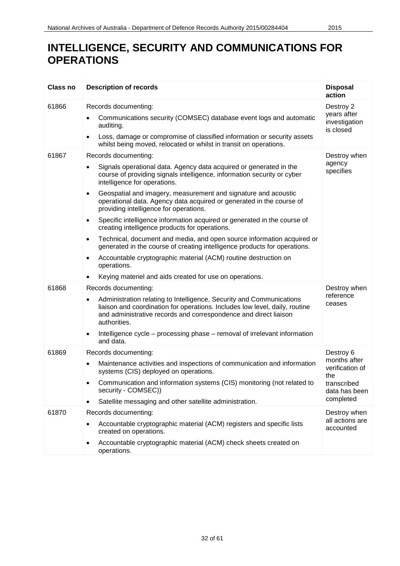| <b>Class no</b> | <b>Description of records</b>                                                                                                                                                                                                                                                                                                                                                                                                                                                                                                                                                                                                                                                                                                                                                                                                                                      | <b>Disposal</b><br>action                                                                        |
|-----------------|--------------------------------------------------------------------------------------------------------------------------------------------------------------------------------------------------------------------------------------------------------------------------------------------------------------------------------------------------------------------------------------------------------------------------------------------------------------------------------------------------------------------------------------------------------------------------------------------------------------------------------------------------------------------------------------------------------------------------------------------------------------------------------------------------------------------------------------------------------------------|--------------------------------------------------------------------------------------------------|
| 61866           | Records documenting:<br>Communications security (COMSEC) database event logs and automatic<br>auditing.<br>Loss, damage or compromise of classified information or security assets<br>٠<br>whilst being moved, relocated or whilst in transit on operations.                                                                                                                                                                                                                                                                                                                                                                                                                                                                                                                                                                                                       | Destroy 2<br>years after<br>investigation<br>is closed                                           |
| 61867           | Records documenting:<br>Signals operational data. Agency data acquired or generated in the<br>course of providing signals intelligence, information security or cyber<br>intelligence for operations.<br>Geospatial and imagery, measurement and signature and acoustic<br>$\bullet$<br>operational data. Agency data acquired or generated in the course of<br>providing intelligence for operations.<br>Specific intelligence information acquired or generated in the course of<br>$\bullet$<br>creating intelligence products for operations.<br>Technical, document and media, and open source information acquired or<br>$\bullet$<br>generated in the course of creating intelligence products for operations.<br>Accountable cryptographic material (ACM) routine destruction on<br>operations.<br>Keying materiel and aids created for use on operations. | Destroy when<br>agency<br>specifies                                                              |
| 61868           | Records documenting:<br>Administration relating to Intelligence, Security and Communications<br>٠<br>liaison and coordination for operations. Includes low level, daily, routine<br>and administrative records and correspondence and direct liaison<br>authorities.<br>Intelligence cycle – processing phase – removal of irrelevant information<br>$\bullet$<br>and data.                                                                                                                                                                                                                                                                                                                                                                                                                                                                                        | Destroy when<br>reference<br>ceases                                                              |
| 61869           | Records documenting:<br>Maintenance activities and inspections of communication and information<br>systems (CIS) deployed on operations.<br>Communication and information systems (CIS) monitoring (not related to<br>security - COMSEC))<br>Satellite messaging and other satellite administration.<br>$\bullet$                                                                                                                                                                                                                                                                                                                                                                                                                                                                                                                                                  | Destroy 6<br>months after<br>verification of<br>the<br>transcribed<br>data has been<br>completed |
| 61870           | Records documenting:<br>Accountable cryptographic material (ACM) registers and specific lists<br>created on operations.<br>Accountable cryptographic material (ACM) check sheets created on<br>$\bullet$<br>operations.                                                                                                                                                                                                                                                                                                                                                                                                                                                                                                                                                                                                                                            | Destroy when<br>all actions are<br>accounted                                                     |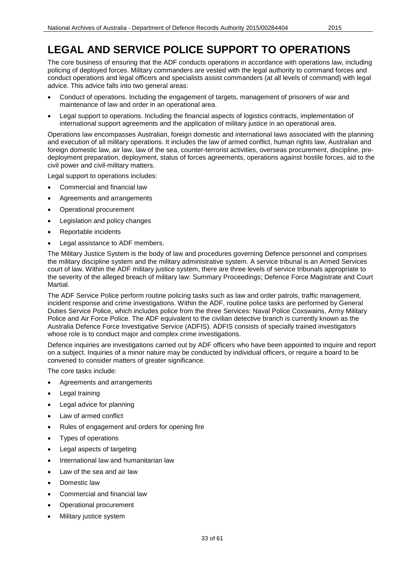The core business of ensuring that the ADF conducts operations in accordance with operations law, including policing of deployed forces. Military commanders are vested with the legal authority to command forces and conduct operations and legal officers and specialists assist commanders (at all levels of command) with legal advice. This advice falls into two general areas:

- Conduct of operations. Including the engagement of targets, management of prisoners of war and maintenance of law and order in an operational area.
- Legal support to operations. Including the financial aspects of logistics contracts, implementation of international support agreements and the application of military justice in an operational area.

Operations law encompasses Australian, foreign domestic and international laws associated with the planning and execution of all military operations. It includes the law of armed conflict, human rights law, Australian and foreign domestic law, air law, law of the sea, counter-terrorist activities, overseas procurement, discipline, predeployment preparation, deployment, status of forces agreements, operations against hostile forces, aid to the civil power and civil-military matters.

Legal support to operations includes:

- Commercial and financial law
- Agreements and arrangements
- Operational procurement
- Legislation and policy changes
- Reportable incidents
- Legal assistance to ADF members.

The Military Justice System is the body of law and procedures governing Defence personnel and comprises the military discipline system and the military administrative system. A service tribunal is an Armed Services court of law. Within the ADF military justice system, there are three levels of service tribunals appropriate to the severity of the alleged breach of military law: Summary Proceedings; Defence Force Magistrate and Court Martial.

The ADF Service Police perform routine policing tasks such as law and order patrols, traffic management, incident response and crime investigations. Within the ADF, routine police tasks are performed by General Duties Service Police, which includes police from the three Services: Naval Police Coxswains, Army Military Police and Air Force Police. The ADF equivalent to the civilian detective branch is currently known as the Australia Defence Force Investigative Service (ADFIS). ADFIS consists of specially trained investigators whose role is to conduct major and complex crime investigations.

Defence inquiries are investigations carried out by ADF officers who have been appointed to inquire and report on a subject. Inquiries of a minor nature may be conducted by individual officers, or require a board to be convened to consider matters of greater significance.

The core tasks include:

- Agreements and arrangements
- Legal training
- Legal advice for planning
- Law of armed conflict
- Rules of engagement and orders for opening fire
- Types of operations
- Legal aspects of targeting
- International law and humanitarian law
- Law of the sea and air law
- Domestic law
- Commercial and financial law
- Operational procurement
- Military justice system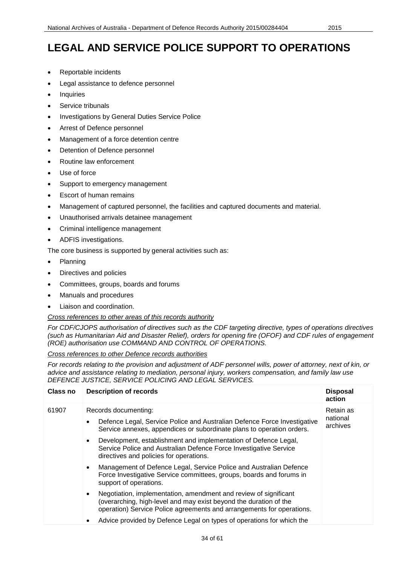- Reportable incidents
- Legal assistance to defence personnel
- **Inquiries**
- Service tribunals
- Investigations by General Duties Service Police
- Arrest of Defence personnel
- Management of a force detention centre
- Detention of Defence personnel
- Routine law enforcement
- Use of force
- Support to emergency management
- **Escort of human remains**
- Management of captured personnel, the facilities and captured documents and material.
- Unauthorised arrivals detainee management
- Criminal intelligence management
- ADFIS investigations.

The core business is supported by general activities such as:

- Planning
- Directives and policies
- Committees, groups, boards and forums
- Manuals and procedures
- Liaison and coordination.

#### *Cross references to other areas of this records authority*

*For CDF/CJOPS authorisation of directives such as the CDF targeting directive, types of operations directives (such as Humanitarian Aid and Disaster Relief), orders for opening fire (OFOF) and CDF rules of engagement (ROE) authorisation use COMMAND AND CONTROL OF OPERATIONS.*

*Cross references to other Defence records authorities*

*For records relating to the provision and adjustment of ADF personnel wills, power of attorney, next of kin, or advice and assistance relating to mediation, personal injury, workers compensation, and family law use DEFENCE JUSTICE, SERVICE POLICING AND LEGAL SERVICES.*

| Class no | <b>Description of records</b>                                                                                                                                                                                       | <b>Disposal</b><br>action         |
|----------|---------------------------------------------------------------------------------------------------------------------------------------------------------------------------------------------------------------------|-----------------------------------|
| 61907    | Records documenting:<br>Defence Legal, Service Police and Australian Defence Force Investigative<br>٠<br>Service annexes, appendices or subordinate plans to operation orders.                                      | Retain as<br>national<br>archives |
|          | Development, establishment and implementation of Defence Legal,<br>$\bullet$<br>Service Police and Australian Defence Force Investigative Service<br>directives and policies for operations.                        |                                   |
|          | Management of Defence Legal, Service Police and Australian Defence<br>$\bullet$<br>Force Investigative Service committees, groups, boards and forums in<br>support of operations.                                   |                                   |
|          | Negotiation, implementation, amendment and review of significant<br>٠<br>(overarching, high-level and may exist beyond the duration of the<br>operation) Service Police agreements and arrangements for operations. |                                   |
|          | Advice provided by Defence Legal on types of operations for which the<br>٠                                                                                                                                          |                                   |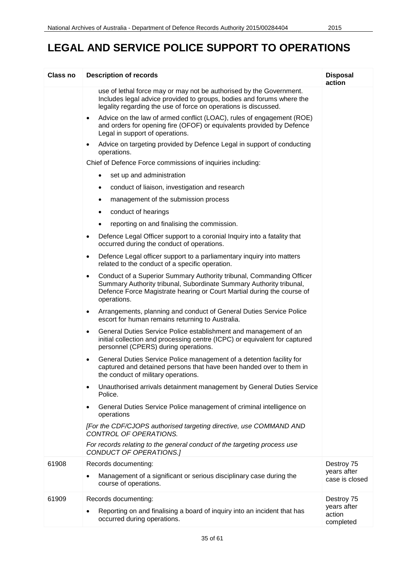| Class no | <b>Description of records</b>                                                                                                                                                                                                                     | <b>Disposal</b><br>action          |
|----------|---------------------------------------------------------------------------------------------------------------------------------------------------------------------------------------------------------------------------------------------------|------------------------------------|
|          | use of lethal force may or may not be authorised by the Government.<br>Includes legal advice provided to groups, bodies and forums where the<br>legality regarding the use of force on operations is discussed.                                   |                                    |
|          | Advice on the law of armed conflict (LOAC), rules of engagement (ROE)<br>٠<br>and orders for opening fire (OFOF) or equivalents provided by Defence<br>Legal in support of operations.                                                            |                                    |
|          | Advice on targeting provided by Defence Legal in support of conducting<br>operations.                                                                                                                                                             |                                    |
|          | Chief of Defence Force commissions of inquiries including:                                                                                                                                                                                        |                                    |
|          | set up and administration<br>$\bullet$                                                                                                                                                                                                            |                                    |
|          | conduct of liaison, investigation and research<br>٠                                                                                                                                                                                               |                                    |
|          | management of the submission process<br>٠                                                                                                                                                                                                         |                                    |
|          | conduct of hearings<br>$\bullet$                                                                                                                                                                                                                  |                                    |
|          | reporting on and finalising the commission.<br>$\bullet$                                                                                                                                                                                          |                                    |
|          | Defence Legal Officer support to a coronial Inquiry into a fatality that<br>$\bullet$<br>occurred during the conduct of operations.                                                                                                               |                                    |
|          | Defence Legal officer support to a parliamentary inquiry into matters<br>$\bullet$<br>related to the conduct of a specific operation.                                                                                                             |                                    |
|          | Conduct of a Superior Summary Authority tribunal, Commanding Officer<br>$\bullet$<br>Summary Authority tribunal, Subordinate Summary Authority tribunal,<br>Defence Force Magistrate hearing or Court Martial during the course of<br>operations. |                                    |
|          | Arrangements, planning and conduct of General Duties Service Police<br>$\bullet$<br>escort for human remains returning to Australia.                                                                                                              |                                    |
|          | General Duties Service Police establishment and management of an<br>٠<br>initial collection and processing centre (ICPC) or equivalent for captured<br>personnel (CPERS) during operations.                                                       |                                    |
|          | General Duties Service Police management of a detention facility for<br>٠<br>captured and detained persons that have been handed over to them in<br>the conduct of military operations.                                                           |                                    |
|          | Unauthorised arrivals detainment management by General Duties Service<br>٠<br>Police.                                                                                                                                                             |                                    |
|          | General Duties Service Police management of criminal intelligence on<br>operations                                                                                                                                                                |                                    |
|          | [For the CDF/CJOPS authorised targeting directive, use COMMAND AND<br>CONTROL OF OPERATIONS.                                                                                                                                                      |                                    |
|          | For records relating to the general conduct of the targeting process use<br>CONDUCT OF OPERATIONS.]                                                                                                                                               |                                    |
| 61908    | Records documenting:                                                                                                                                                                                                                              | Destroy 75                         |
|          | Management of a significant or serious disciplinary case during the<br>٠<br>course of operations.                                                                                                                                                 | years after<br>case is closed      |
| 61909    | Records documenting:                                                                                                                                                                                                                              | Destroy 75                         |
|          | Reporting on and finalising a board of inquiry into an incident that has<br>occurred during operations.                                                                                                                                           | years after<br>action<br>completed |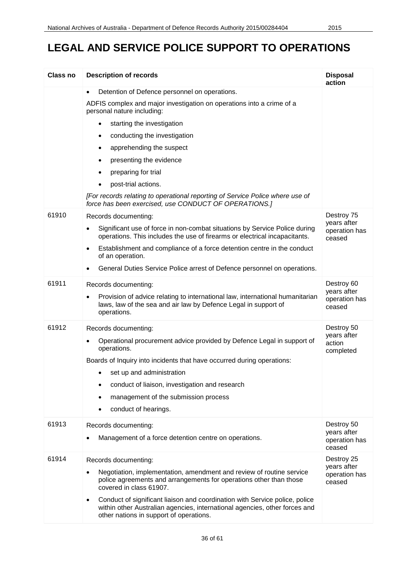| <b>Class no</b> | <b>Description of records</b>                                                                                                                                                                                     | <b>Disposal</b><br>action              |
|-----------------|-------------------------------------------------------------------------------------------------------------------------------------------------------------------------------------------------------------------|----------------------------------------|
|                 | Detention of Defence personnel on operations.<br>$\bullet$                                                                                                                                                        |                                        |
|                 | ADFIS complex and major investigation on operations into a crime of a<br>personal nature including:                                                                                                               |                                        |
|                 | starting the investigation<br>$\bullet$                                                                                                                                                                           |                                        |
|                 | conducting the investigation<br>$\bullet$                                                                                                                                                                         |                                        |
|                 | apprehending the suspect<br>٠                                                                                                                                                                                     |                                        |
|                 | presenting the evidence<br>٠                                                                                                                                                                                      |                                        |
|                 | preparing for trial<br>$\bullet$                                                                                                                                                                                  |                                        |
|                 | post-trial actions.<br>$\bullet$                                                                                                                                                                                  |                                        |
|                 | [For records relating to operational reporting of Service Police where use of<br>force has been exercised, use CONDUCT OF OPERATIONS.]                                                                            |                                        |
| 61910           | Records documenting:                                                                                                                                                                                              | Destroy 75                             |
|                 | Significant use of force in non-combat situations by Service Police during<br>$\bullet$<br>operations. This includes the use of firearms or electrical incapacitants.                                             | years after<br>operation has<br>ceased |
|                 | Establishment and compliance of a force detention centre in the conduct<br>$\bullet$<br>of an operation.                                                                                                          |                                        |
|                 | General Duties Service Police arrest of Defence personnel on operations.                                                                                                                                          |                                        |
| 61911           | Records documenting:                                                                                                                                                                                              | Destroy 60<br>years after              |
|                 | Provision of advice relating to international law, international humanitarian<br>$\bullet$<br>laws, law of the sea and air law by Defence Legal in support of<br>operations.                                      | operation has<br>ceased                |
| 61912           | Records documenting:                                                                                                                                                                                              | Destroy 50                             |
|                 | Operational procurement advice provided by Defence Legal in support of<br>٠<br>operations.                                                                                                                        | years after<br>action<br>completed     |
|                 | Boards of Inquiry into incidents that have occurred during operations:                                                                                                                                            |                                        |
|                 | set up and administration                                                                                                                                                                                         |                                        |
|                 | conduct of liaison, investigation and research                                                                                                                                                                    |                                        |
|                 | management of the submission process                                                                                                                                                                              |                                        |
|                 | conduct of hearings.                                                                                                                                                                                              |                                        |
| 61913           | Records documenting:                                                                                                                                                                                              | Destroy 50                             |
|                 | Management of a force detention centre on operations.<br>٠                                                                                                                                                        | years after<br>operation has<br>ceased |
| 61914           | Records documenting:                                                                                                                                                                                              | Destroy 25                             |
|                 | Negotiation, implementation, amendment and review of routine service<br>police agreements and arrangements for operations other than those<br>covered in class 61907.                                             | years after<br>operation has<br>ceased |
|                 | Conduct of significant liaison and coordination with Service police, police<br>$\bullet$<br>within other Australian agencies, international agencies, other forces and<br>other nations in support of operations. |                                        |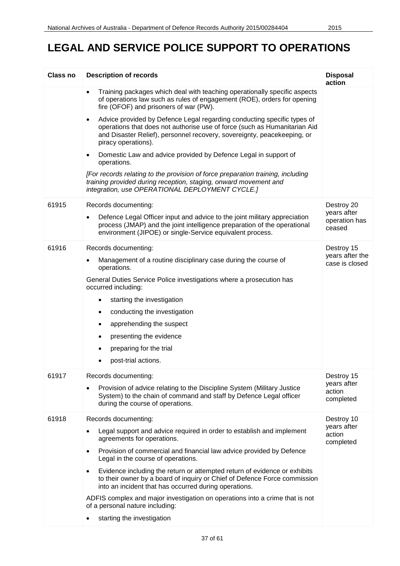| Class no | <b>Description of records</b>                                                                                                                                                                                                                                       | <b>Disposal</b><br>action          |
|----------|---------------------------------------------------------------------------------------------------------------------------------------------------------------------------------------------------------------------------------------------------------------------|------------------------------------|
|          | Training packages which deal with teaching operationally specific aspects<br>$\bullet$<br>of operations law such as rules of engagement (ROE), orders for opening<br>fire (OFOF) and prisoners of war (PW).                                                         |                                    |
|          | Advice provided by Defence Legal regarding conducting specific types of<br>$\bullet$<br>operations that does not authorise use of force (such as Humanitarian Aid<br>and Disaster Relief), personnel recovery, sovereignty, peacekeeping, or<br>piracy operations). |                                    |
|          | Domestic Law and advice provided by Defence Legal in support of<br>$\bullet$<br>operations.                                                                                                                                                                         |                                    |
|          | [For records relating to the provision of force preparation training, including<br>training provided during reception, staging, onward movement and<br>integration, use OPERATIONAL DEPLOYMENT CYCLE.]                                                              |                                    |
| 61915    | Records documenting:                                                                                                                                                                                                                                                | Destroy 20<br>years after          |
|          | Defence Legal Officer input and advice to the joint military appreciation<br>process (JMAP) and the joint intelligence preparation of the operational<br>environment (JIPOE) or single-Service equivalent process.                                                  | operation has<br>ceased            |
| 61916    | Records documenting:                                                                                                                                                                                                                                                | Destroy 15<br>years after the      |
|          | Management of a routine disciplinary case during the course of<br>٠<br>operations.                                                                                                                                                                                  | case is closed                     |
|          | General Duties Service Police investigations where a prosecution has<br>occurred including:                                                                                                                                                                         |                                    |
|          | starting the investigation<br>٠                                                                                                                                                                                                                                     |                                    |
|          | conducting the investigation                                                                                                                                                                                                                                        |                                    |
|          | apprehending the suspect<br>٠                                                                                                                                                                                                                                       |                                    |
|          | presenting the evidence<br>٠                                                                                                                                                                                                                                        |                                    |
|          | preparing for the trial<br>٠                                                                                                                                                                                                                                        |                                    |
|          | post-trial actions.                                                                                                                                                                                                                                                 |                                    |
| 61917    | Records documenting:                                                                                                                                                                                                                                                | Destroy 15                         |
|          | Provision of advice relating to the Discipline System (Military Justice<br>٠<br>System) to the chain of command and staff by Defence Legal officer<br>during the course of operations.                                                                              | years after<br>action<br>completed |
| 61918    | Records documenting:                                                                                                                                                                                                                                                | Destroy 10                         |
|          | Legal support and advice required in order to establish and implement<br>agreements for operations.                                                                                                                                                                 | years after<br>action<br>completed |
|          | Provision of commercial and financial law advice provided by Defence<br>٠<br>Legal in the course of operations.                                                                                                                                                     |                                    |
|          | Evidence including the return or attempted return of evidence or exhibits<br>$\bullet$<br>to their owner by a board of inquiry or Chief of Defence Force commission<br>into an incident that has occurred during operations.                                        |                                    |
|          | ADFIS complex and major investigation on operations into a crime that is not<br>of a personal nature including:                                                                                                                                                     |                                    |
|          | starting the investigation                                                                                                                                                                                                                                          |                                    |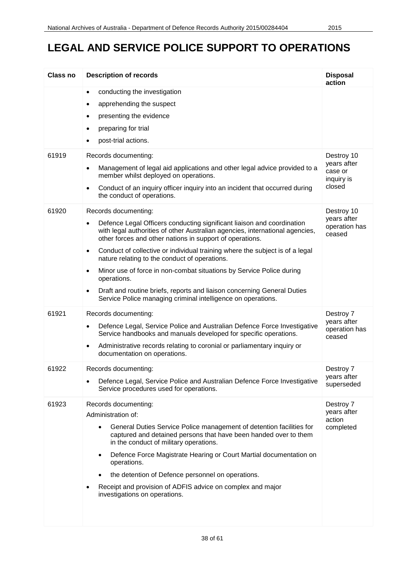| <b>Class no</b> | <b>Description of records</b>                                                                                                                                                                                                                                                                                                                                                                                                                                                                                                                                                                                                                                     | <b>Disposal</b><br>action                                    |
|-----------------|-------------------------------------------------------------------------------------------------------------------------------------------------------------------------------------------------------------------------------------------------------------------------------------------------------------------------------------------------------------------------------------------------------------------------------------------------------------------------------------------------------------------------------------------------------------------------------------------------------------------------------------------------------------------|--------------------------------------------------------------|
|                 | conducting the investigation<br>$\bullet$<br>apprehending the suspect<br>٠<br>presenting the evidence<br>$\bullet$<br>preparing for trial<br>$\bullet$<br>post-trial actions.<br>$\bullet$                                                                                                                                                                                                                                                                                                                                                                                                                                                                        |                                                              |
| 61919           | Records documenting:<br>Management of legal aid applications and other legal advice provided to a<br>٠<br>member whilst deployed on operations.<br>Conduct of an inquiry officer inquiry into an incident that occurred during<br>$\bullet$<br>the conduct of operations.                                                                                                                                                                                                                                                                                                                                                                                         | Destroy 10<br>years after<br>case or<br>inquiry is<br>closed |
| 61920           | Records documenting:<br>Defence Legal Officers conducting significant liaison and coordination<br>$\bullet$<br>with legal authorities of other Australian agencies, international agencies,<br>other forces and other nations in support of operations.<br>Conduct of collective or individual training where the subject is of a legal<br>$\bullet$<br>nature relating to the conduct of operations.<br>Minor use of force in non-combat situations by Service Police during<br>$\bullet$<br>operations.<br>Draft and routine briefs, reports and liaison concerning General Duties<br>$\bullet$<br>Service Police managing criminal intelligence on operations. | Destroy 10<br>years after<br>operation has<br>ceased         |
| 61921           | Records documenting:<br>Defence Legal, Service Police and Australian Defence Force Investigative<br>٠<br>Service handbooks and manuals developed for specific operations.<br>Administrative records relating to coronial or parliamentary inquiry or<br>documentation on operations.                                                                                                                                                                                                                                                                                                                                                                              | Destroy 7<br>years after<br>operation has<br>ceased          |
| 61922           | Records documenting:<br>Defence Legal, Service Police and Australian Defence Force Investigative<br>Service procedures used for operations.                                                                                                                                                                                                                                                                                                                                                                                                                                                                                                                       | Destroy 7<br>years after<br>superseded                       |
| 61923           | Records documenting:<br>Administration of:<br>General Duties Service Police management of detention facilities for<br>$\bullet$<br>captured and detained persons that have been handed over to them<br>in the conduct of military operations.<br>Defence Force Magistrate Hearing or Court Martial documentation on<br>$\bullet$<br>operations.<br>the detention of Defence personnel on operations.<br>Receipt and provision of ADFIS advice on complex and major<br>investigations on operations.                                                                                                                                                               | Destroy 7<br>years after<br>action<br>completed              |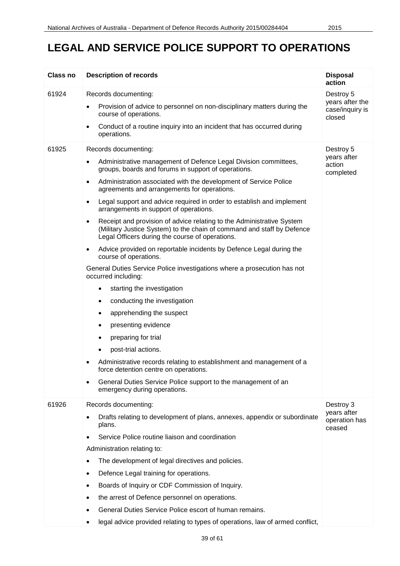| <b>Class no</b> | <b>Description of records</b>                                                                                                                                                                           | <b>Disposal</b><br>action                    |
|-----------------|---------------------------------------------------------------------------------------------------------------------------------------------------------------------------------------------------------|----------------------------------------------|
| 61924           | Records documenting:                                                                                                                                                                                    | Destroy 5                                    |
|                 | Provision of advice to personnel on non-disciplinary matters during the<br>$\bullet$<br>course of operations.                                                                                           | years after the<br>case/inquiry is<br>closed |
|                 | Conduct of a routine inquiry into an incident that has occurred during<br>$\bullet$<br>operations.                                                                                                      |                                              |
| 61925           | Records documenting:                                                                                                                                                                                    | Destroy 5                                    |
|                 | Administrative management of Defence Legal Division committees,<br>٠<br>groups, boards and forums in support of operations.                                                                             | years after<br>action<br>completed           |
|                 | Administration associated with the development of Service Police<br>$\bullet$<br>agreements and arrangements for operations.                                                                            |                                              |
|                 | Legal support and advice required in order to establish and implement<br>$\bullet$<br>arrangements in support of operations.                                                                            |                                              |
|                 | Receipt and provision of advice relating to the Administrative System<br>٠<br>(Military Justice System) to the chain of command and staff by Defence<br>Legal Officers during the course of operations. |                                              |
|                 | Advice provided on reportable incidents by Defence Legal during the<br>٠<br>course of operations.                                                                                                       |                                              |
|                 | General Duties Service Police investigations where a prosecution has not<br>occurred including:                                                                                                         |                                              |
|                 | starting the investigation<br>٠                                                                                                                                                                         |                                              |
|                 | conducting the investigation<br>٠                                                                                                                                                                       |                                              |
|                 | apprehending the suspect<br>٠                                                                                                                                                                           |                                              |
|                 | presenting evidence<br>٠                                                                                                                                                                                |                                              |
|                 | preparing for trial                                                                                                                                                                                     |                                              |
|                 | post-trial actions.                                                                                                                                                                                     |                                              |
|                 | Administrative records relating to establishment and management of a<br>force detention centre on operations.                                                                                           |                                              |
|                 | General Duties Service Police support to the management of an<br>emergency during operations.                                                                                                           |                                              |
| 61926           | Records documenting:                                                                                                                                                                                    | Destroy 3                                    |
|                 | Drafts relating to development of plans, annexes, appendix or subordinate<br>plans.                                                                                                                     | years after<br>operation has<br>ceased       |
|                 | Service Police routine liaison and coordination                                                                                                                                                         |                                              |
|                 | Administration relating to:                                                                                                                                                                             |                                              |
|                 | The development of legal directives and policies.<br>$\bullet$                                                                                                                                          |                                              |
|                 | Defence Legal training for operations.<br>$\bullet$                                                                                                                                                     |                                              |
|                 | Boards of Inquiry or CDF Commission of Inquiry.<br>$\bullet$                                                                                                                                            |                                              |
|                 | the arrest of Defence personnel on operations.<br>٠                                                                                                                                                     |                                              |
|                 | General Duties Service Police escort of human remains.<br>$\bullet$                                                                                                                                     |                                              |
|                 | legal advice provided relating to types of operations, law of armed conflict,<br>٠                                                                                                                      |                                              |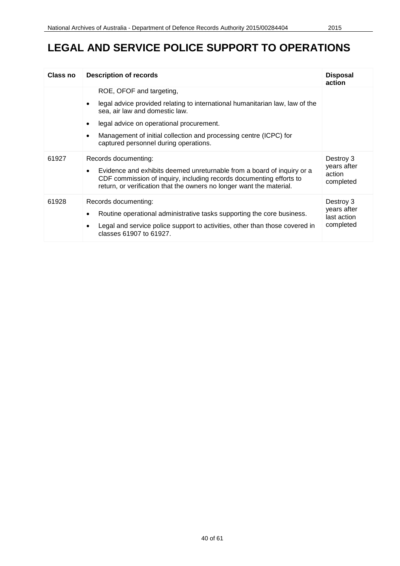| Class no | <b>Description of records</b>                                                                                                                                                                                                                                                                        | <b>Disposal</b><br>action                            |
|----------|------------------------------------------------------------------------------------------------------------------------------------------------------------------------------------------------------------------------------------------------------------------------------------------------------|------------------------------------------------------|
|          | ROE, OFOF and targeting,<br>legal advice provided relating to international humanitarian law, law of the<br>sea, air law and domestic law.<br>legal advice on operational procurement.<br>Management of initial collection and processing centre (ICPC) for<br>captured personnel during operations. |                                                      |
| 61927    | Records documenting:<br>Evidence and exhibits deemed unreturnable from a board of inquiry or a<br>$\bullet$<br>CDF commission of inquiry, including records documenting efforts to<br>return, or verification that the owners no longer want the material.                                           | Destroy 3<br>years after<br>action<br>completed      |
| 61928    | Records documenting:<br>Routine operational administrative tasks supporting the core business.<br>Legal and service police support to activities, other than those covered in<br>classes 61907 to 61927.                                                                                             | Destroy 3<br>years after<br>last action<br>completed |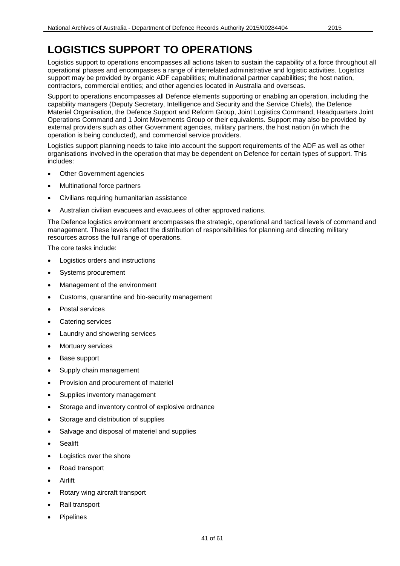Logistics support to operations encompasses all actions taken to sustain the capability of a force throughout all operational phases and encompasses a range of interrelated administrative and logistic activities. Logistics support may be provided by organic ADF capabilities; multinational partner capabilities; the host nation, contractors, commercial entities; and other agencies located in Australia and overseas.

Support to operations encompasses all Defence elements supporting or enabling an operation, including the capability managers (Deputy Secretary, Intelligence and Security and the Service Chiefs), the Defence Materiel Organisation, the Defence Support and Reform Group, Joint Logistics Command, Headquarters Joint Operations Command and 1 Joint Movements Group or their equivalents. Support may also be provided by external providers such as other Government agencies, military partners, the host nation (in which the operation is being conducted), and commercial service providers.

Logistics support planning needs to take into account the support requirements of the ADF as well as other organisations involved in the operation that may be dependent on Defence for certain types of support. This includes:

- **Other Government agencies**
- Multinational force partners
- Civilians requiring humanitarian assistance
- Australian civilian evacuees and evacuees of other approved nations.

The Defence logistics environment encompasses the strategic, operational and tactical levels of command and management. These levels reflect the distribution of responsibilities for planning and directing military resources across the full range of operations.

The core tasks include:

- Logistics orders and instructions
- Systems procurement
- Management of the environment
- Customs, quarantine and bio-security management
- Postal services
- Catering services
- Laundry and showering services
- **Mortuary services**
- Base support
- Supply chain management
- Provision and procurement of materiel
- Supplies inventory management
- Storage and inventory control of explosive ordnance
- Storage and distribution of supplies
- Salvage and disposal of materiel and supplies
- **Sealift**
- Logistics over the shore
- Road transport
- Airlift
- Rotary wing aircraft transport
- Rail transport
- **Pipelines**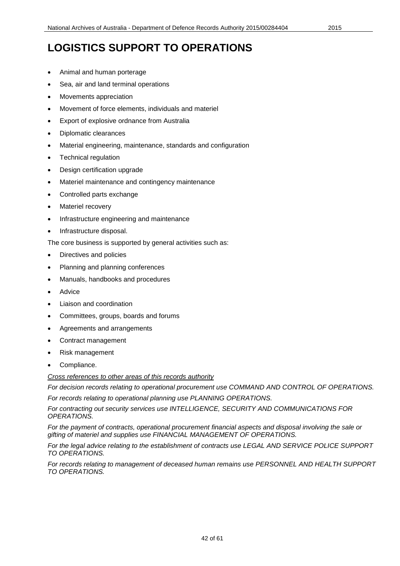- Animal and human porterage
- Sea, air and land terminal operations
- Movements appreciation
- Movement of force elements, individuals and materiel
- Export of explosive ordnance from Australia
- Diplomatic clearances
- Material engineering, maintenance, standards and configuration
- Technical regulation
- Design certification upgrade
- Materiel maintenance and contingency maintenance
- Controlled parts exchange
- Materiel recovery
- Infrastructure engineering and maintenance
- Infrastructure disposal.

The core business is supported by general activities such as:

- Directives and policies
- Planning and planning conferences
- Manuals, handbooks and procedures
- **Advice**
- Liaison and coordination
- Committees, groups, boards and forums
- Agreements and arrangements
- Contract management
- Risk management
- Compliance.

*Cross references to other areas of this records authority*

*For decision records relating to operational procurement use COMMAND AND CONTROL OF OPERATIONS. For records relating to operational planning use PLANNING OPERATIONS.*

*For contracting out security services use INTELLIGENCE, SECURITY AND COMMUNICATIONS FOR OPERATIONS.*

*For the payment of contracts, operational procurement financial aspects and disposal involving the sale or gifting of materiel and supplies use FINANCIAL MANAGEMENT OF OPERATIONS.*

*For the legal advice relating to the establishment of contracts use LEGAL AND SERVICE POLICE SUPPORT TO OPERATIONS.*

*For records relating to management of deceased human remains use PERSONNEL AND HEALTH SUPPORT TO OPERATIONS.*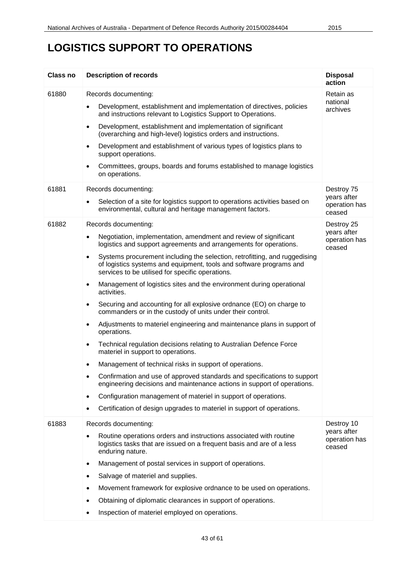| <b>Class no</b> | <b>Description of records</b>                                                                                                                                                                                      | <b>Disposal</b><br>action              |
|-----------------|--------------------------------------------------------------------------------------------------------------------------------------------------------------------------------------------------------------------|----------------------------------------|
| 61880           | Records documenting:                                                                                                                                                                                               | Retain as                              |
|                 | Development, establishment and implementation of directives, policies<br>$\bullet$<br>and instructions relevant to Logistics Support to Operations.                                                                | national<br>archives                   |
|                 | Development, establishment and implementation of significant<br>$\bullet$<br>(overarching and high-level) logistics orders and instructions.                                                                       |                                        |
|                 | Development and establishment of various types of logistics plans to<br>$\bullet$<br>support operations.                                                                                                           |                                        |
|                 | Committees, groups, boards and forums established to manage logistics<br>٠<br>on operations.                                                                                                                       |                                        |
| 61881           | Records documenting:                                                                                                                                                                                               | Destroy 75                             |
|                 | Selection of a site for logistics support to operations activities based on<br>environmental, cultural and heritage management factors.                                                                            | years after<br>operation has<br>ceased |
| 61882           | Records documenting:                                                                                                                                                                                               | Destroy 25                             |
|                 | Negotiation, implementation, amendment and review of significant<br>$\bullet$<br>logistics and support agreements and arrangements for operations.                                                                 | years after<br>operation has<br>ceased |
|                 | Systems procurement including the selection, retrofitting, and ruggedising<br>$\bullet$<br>of logistics systems and equipment, tools and software programs and<br>services to be utilised for specific operations. |                                        |
|                 | Management of logistics sites and the environment during operational<br>$\bullet$<br>activities.                                                                                                                   |                                        |
|                 | Securing and accounting for all explosive ordnance (EO) on charge to<br>$\bullet$<br>commanders or in the custody of units under their control.                                                                    |                                        |
|                 | Adjustments to materiel engineering and maintenance plans in support of<br>$\bullet$<br>operations.                                                                                                                |                                        |
|                 | Technical regulation decisions relating to Australian Defence Force<br>$\bullet$<br>materiel in support to operations.                                                                                             |                                        |
|                 | Management of technical risks in support of operations.<br>٠                                                                                                                                                       |                                        |
|                 | Confirmation and use of approved standards and specifications to support<br>$\bullet$<br>engineering decisions and maintenance actions in support of operations.                                                   |                                        |
|                 | Configuration management of materiel in support of operations.<br>$\bullet$                                                                                                                                        |                                        |
|                 | Certification of design upgrades to materiel in support of operations.                                                                                                                                             |                                        |
| 61883           | Records documenting:                                                                                                                                                                                               | Destroy 10                             |
|                 | Routine operations orders and instructions associated with routine<br>logistics tasks that are issued on a frequent basis and are of a less<br>enduring nature.                                                    | years after<br>operation has<br>ceased |
|                 | Management of postal services in support of operations.<br>٠                                                                                                                                                       |                                        |
|                 | Salvage of materiel and supplies.<br>٠                                                                                                                                                                             |                                        |
|                 | Movement framework for explosive ordnance to be used on operations.<br>٠                                                                                                                                           |                                        |
|                 | Obtaining of diplomatic clearances in support of operations.                                                                                                                                                       |                                        |
|                 | Inspection of materiel employed on operations.<br>٠                                                                                                                                                                |                                        |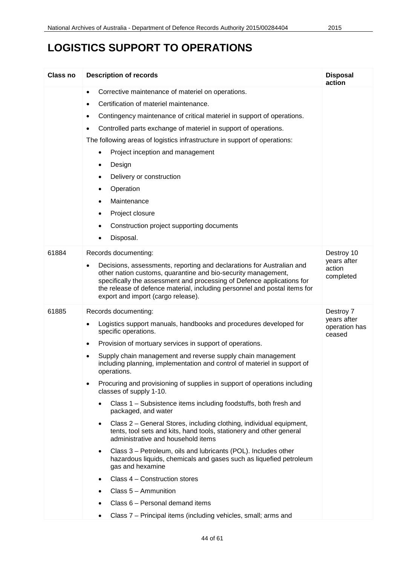| Class no | <b>Description of records</b>                                                                                                                                                                                                                                                                                                                                                                                                                                                                                                                                                                                                                                                                                                                                                                                                                                                                                                                                                                                                                                                                                                  | <b>Disposal</b><br>action                           |
|----------|--------------------------------------------------------------------------------------------------------------------------------------------------------------------------------------------------------------------------------------------------------------------------------------------------------------------------------------------------------------------------------------------------------------------------------------------------------------------------------------------------------------------------------------------------------------------------------------------------------------------------------------------------------------------------------------------------------------------------------------------------------------------------------------------------------------------------------------------------------------------------------------------------------------------------------------------------------------------------------------------------------------------------------------------------------------------------------------------------------------------------------|-----------------------------------------------------|
|          | Corrective maintenance of materiel on operations.<br>$\bullet$<br>Certification of materiel maintenance.<br>$\bullet$<br>Contingency maintenance of critical materiel in support of operations.<br>٠<br>Controlled parts exchange of materiel in support of operations.<br>$\bullet$<br>The following areas of logistics infrastructure in support of operations:<br>Project inception and management<br>٠<br>Design<br>٠<br>Delivery or construction<br>٠<br>Operation<br>Maintenance<br>Project closure<br>Construction project supporting documents<br>٠<br>Disposal.                                                                                                                                                                                                                                                                                                                                                                                                                                                                                                                                                       |                                                     |
| 61884    | Records documenting:<br>Decisions, assessments, reporting and declarations for Australian and<br>$\bullet$<br>other nation customs, quarantine and bio-security management,<br>specifically the assessment and processing of Defence applications for<br>the release of defence material, including personnel and postal items for<br>export and import (cargo release).                                                                                                                                                                                                                                                                                                                                                                                                                                                                                                                                                                                                                                                                                                                                                       | Destroy 10<br>years after<br>action<br>completed    |
| 61885    | Records documenting:<br>Logistics support manuals, handbooks and procedures developed for<br>specific operations.<br>Provision of mortuary services in support of operations.<br>$\bullet$<br>Supply chain management and reverse supply chain management<br>including planning, implementation and control of materiel in support of<br>operations.<br>Procuring and provisioning of supplies in support of operations including<br>classes of supply 1-10.<br>Class 1 - Subsistence items including foodstuffs, both fresh and<br>packaged, and water<br>Class 2 - General Stores, including clothing, individual equipment,<br>$\bullet$<br>tents, tool sets and kits, hand tools, stationery and other general<br>administrative and household items<br>Class 3 - Petroleum, oils and lubricants (POL). Includes other<br>$\bullet$<br>hazardous liquids, chemicals and gases such as liquefied petroleum<br>gas and hexamine<br>Class 4 - Construction stores<br>$\bullet$<br>Class 5 - Ammunition<br>Class 6 - Personal demand items<br>٠<br>Class 7 - Principal items (including vehicles, small; arms and<br>$\bullet$ | Destroy 7<br>years after<br>operation has<br>ceased |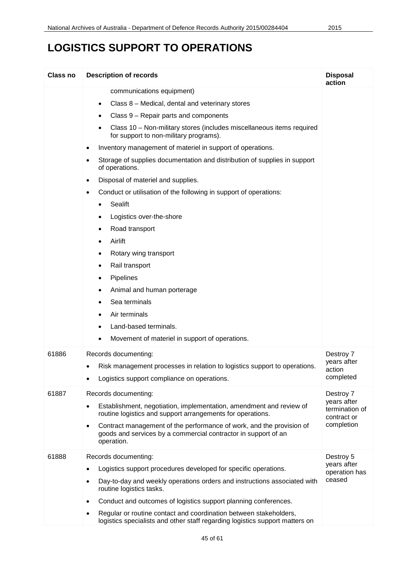| Class no | <b>Description of records</b>                                                                                                                                     | <b>Disposal</b><br>action              |
|----------|-------------------------------------------------------------------------------------------------------------------------------------------------------------------|----------------------------------------|
|          | communications equipment)<br>Class 8 – Medical, dental and veterinary stores<br>$\bullet$                                                                         |                                        |
|          | Class 9 – Repair parts and components<br>$\bullet$                                                                                                                |                                        |
|          | Class 10 - Non-military stores (includes miscellaneous items required<br>for support to non-military programs).                                                   |                                        |
|          | Inventory management of materiel in support of operations.                                                                                                        |                                        |
|          | Storage of supplies documentation and distribution of supplies in support<br>of operations.                                                                       |                                        |
|          | Disposal of materiel and supplies.                                                                                                                                |                                        |
|          | Conduct or utilisation of the following in support of operations:<br>$\bullet$                                                                                    |                                        |
|          | Sealift                                                                                                                                                           |                                        |
|          | Logistics over-the-shore<br>٠                                                                                                                                     |                                        |
|          | Road transport<br>٠                                                                                                                                               |                                        |
|          | Airlift<br>٠                                                                                                                                                      |                                        |
|          | Rotary wing transport<br>٠                                                                                                                                        |                                        |
|          | Rail transport<br>٠                                                                                                                                               |                                        |
|          | Pipelines<br>٠                                                                                                                                                    |                                        |
|          | Animal and human porterage<br>٠                                                                                                                                   |                                        |
|          | Sea terminals<br>٠                                                                                                                                                |                                        |
|          | Air terminals<br>٠                                                                                                                                                |                                        |
|          | Land-based terminals.                                                                                                                                             |                                        |
|          | Movement of materiel in support of operations.<br>٠                                                                                                               |                                        |
| 61886    | Records documenting:                                                                                                                                              | Destroy 7                              |
|          | Risk management processes in relation to logistics support to operations.<br>٠                                                                                    | years after<br>action                  |
|          | Logistics support compliance on operations.                                                                                                                       | completed                              |
| 61887    | Records documenting:                                                                                                                                              | Destroy 7<br>years after               |
|          | Establishment, negotiation, implementation, amendment and review of<br>$\bullet$<br>routine logistics and support arrangements for operations.                    | termination of<br>contract or          |
|          | Contract management of the performance of work, and the provision of<br>$\bullet$<br>goods and services by a commercial contractor in support of an<br>operation. | completion                             |
| 61888    | Records documenting:                                                                                                                                              | Destroy 5                              |
|          | Logistics support procedures developed for specific operations.                                                                                                   | years after<br>operation has<br>ceased |
|          | Day-to-day and weekly operations orders and instructions associated with<br>routine logistics tasks.                                                              |                                        |
|          | Conduct and outcomes of logistics support planning conferences.<br>$\bullet$                                                                                      |                                        |
|          | Regular or routine contact and coordination between stakeholders,<br>logistics specialists and other staff regarding logistics support matters on                 |                                        |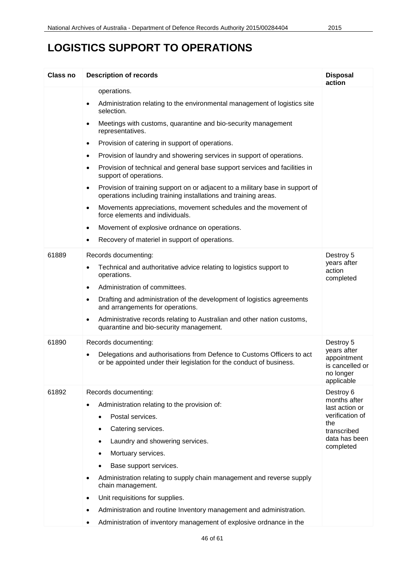| Class no | <b>Description of records</b>                                                                                                                                 | <b>Disposal</b><br>action                                                |
|----------|---------------------------------------------------------------------------------------------------------------------------------------------------------------|--------------------------------------------------------------------------|
|          | operations.                                                                                                                                                   |                                                                          |
|          | Administration relating to the environmental management of logistics site<br>selection.                                                                       |                                                                          |
|          | Meetings with customs, quarantine and bio-security management<br>$\bullet$<br>representatives.                                                                |                                                                          |
|          | Provision of catering in support of operations.<br>$\bullet$                                                                                                  |                                                                          |
|          | Provision of laundry and showering services in support of operations.<br>$\bullet$                                                                            |                                                                          |
|          | Provision of technical and general base support services and facilities in<br>$\bullet$<br>support of operations.                                             |                                                                          |
|          | Provision of training support on or adjacent to a military base in support of<br>$\bullet$<br>operations including training installations and training areas. |                                                                          |
|          | Movements appreciations, movement schedules and the movement of<br>$\bullet$<br>force elements and individuals.                                               |                                                                          |
|          | Movement of explosive ordnance on operations.<br>$\bullet$                                                                                                    |                                                                          |
|          | Recovery of materiel in support of operations.<br>$\bullet$                                                                                                   |                                                                          |
| 61889    | Records documenting:                                                                                                                                          | Destroy 5                                                                |
|          | Technical and authoritative advice relating to logistics support to<br>operations.                                                                            | years after<br>action<br>completed                                       |
|          | Administration of committees.<br>$\bullet$                                                                                                                    |                                                                          |
|          | Drafting and administration of the development of logistics agreements<br>$\bullet$<br>and arrangements for operations.                                       |                                                                          |
|          | Administrative records relating to Australian and other nation customs,<br>$\bullet$<br>quarantine and bio-security management.                               |                                                                          |
| 61890    | Records documenting:                                                                                                                                          | Destroy 5                                                                |
|          | Delegations and authorisations from Defence to Customs Officers to act<br>or be appointed under their legislation for the conduct of business.                | years after<br>appointment<br>is cancelled or<br>no longer<br>applicable |
| 61892    | Records documenting:                                                                                                                                          | Destroy 6                                                                |
|          | Administration relating to the provision of:<br>$\bullet$                                                                                                     | months after<br>last action or                                           |
|          | Postal services.                                                                                                                                              | verification of                                                          |
|          | Catering services.                                                                                                                                            | the<br>transcribed                                                       |
|          | Laundry and showering services.                                                                                                                               | data has been<br>completed                                               |
|          | Mortuary services.                                                                                                                                            |                                                                          |
|          | Base support services.                                                                                                                                        |                                                                          |
|          | Administration relating to supply chain management and reverse supply<br>chain management.                                                                    |                                                                          |
|          | Unit requisitions for supplies.<br>٠                                                                                                                          |                                                                          |
|          | Administration and routine Inventory management and administration.<br>$\bullet$                                                                              |                                                                          |
|          | Administration of inventory management of explosive ordnance in the                                                                                           |                                                                          |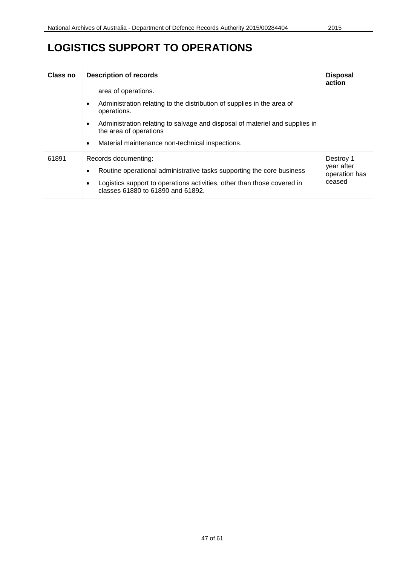| Class no | <b>Description of records</b>                                                                                     | <b>Disposal</b><br>action   |
|----------|-------------------------------------------------------------------------------------------------------------------|-----------------------------|
|          | area of operations.                                                                                               |                             |
|          | Administration relating to the distribution of supplies in the area of<br>٠<br>operations.                        |                             |
|          | Administration relating to salvage and disposal of materiel and supplies in<br>٠<br>the area of operations        |                             |
|          | Material maintenance non-technical inspections.<br>$\bullet$                                                      |                             |
| 61891    | Records documenting:                                                                                              | Destroy 1                   |
|          | Routine operational administrative tasks supporting the core business<br>$\bullet$                                | year after<br>operation has |
|          | Logistics support to operations activities, other than those covered in<br>٠<br>classes 61880 to 61890 and 61892. | ceased                      |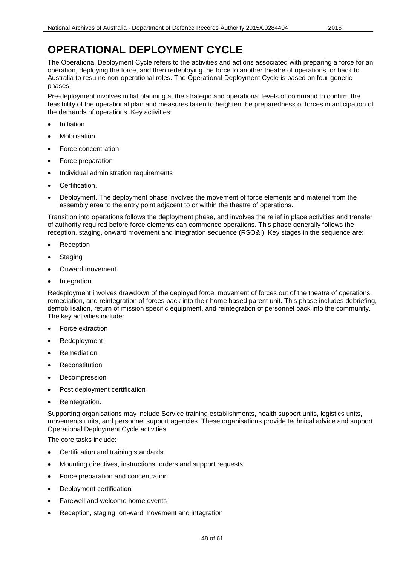The Operational Deployment Cycle refers to the activities and actions associated with preparing a force for an operation, deploying the force, and then redeploying the force to another theatre of operations, or back to Australia to resume non-operational roles. The Operational Deployment Cycle is based on four generic phases:

Pre-deployment involves initial planning at the strategic and operational levels of command to confirm the feasibility of the operational plan and measures taken to heighten the preparedness of forces in anticipation of the demands of operations. Key activities:

- **Initiation**
- **Mobilisation**
- Force concentration
- Force preparation
- Individual administration requirements
- Certification.
- Deployment. The deployment phase involves the movement of force elements and materiel from the assembly area to the entry point adjacent to or within the theatre of operations.

Transition into operations follows the deployment phase, and involves the relief in place activities and transfer of authority required before force elements can commence operations. This phase generally follows the reception, staging, onward movement and integration sequence (RSO&I). Key stages in the sequence are:

- **Reception**
- **Staging**
- Onward movement
- Integration.

Redeployment involves drawdown of the deployed force, movement of forces out of the theatre of operations, remediation, and reintegration of forces back into their home based parent unit. This phase includes debriefing, demobilisation, return of mission specific equipment, and reintegration of personnel back into the community. The key activities include:

- Force extraction
- **Redeployment**
- **Remediation**
- **Reconstitution**
- **Decompression**
- Post deployment certification
- Reintegration.

Supporting organisations may include Service training establishments, health support units, logistics units, movements units, and personnel support agencies. These organisations provide technical advice and support Operational Deployment Cycle activities.

The core tasks include:

- Certification and training standards
- Mounting directives, instructions, orders and support requests
- Force preparation and concentration
- Deployment certification
- Farewell and welcome home events
- Reception, staging, on-ward movement and integration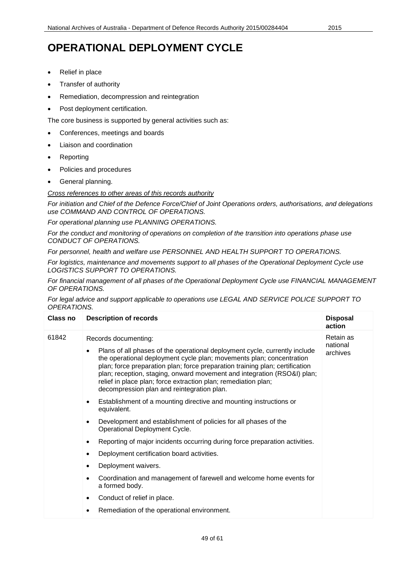- Relief in place
- Transfer of authority
- Remediation, decompression and reintegration
- Post deployment certification.

The core business is supported by general activities such as:

- Conferences, meetings and boards
- Liaison and coordination
- **Reporting**
- Policies and procedures
- General planning.

*Cross references to other areas of this records authority*

*For initiation and Chief of the Defence Force/Chief of Joint Operations orders, authorisations, and delegations use COMMAND AND CONTROL OF OPERATIONS.*

*For operational planning use PLANNING OPERATIONS.*

*For the conduct and monitoring of operations on completion of the transition into operations phase use CONDUCT OF OPERATIONS.*

*For personnel, health and welfare use PERSONNEL AND HEALTH SUPPORT TO OPERATIONS.*

*For logistics, maintenance and movements support to all phases of the Operational Deployment Cycle use LOGISTICS SUPPORT TO OPERATIONS.*

*For financial management of all phases of the Operational Deployment Cycle use FINANCIAL MANAGEMENT OF OPERATIONS.*

*For legal advice and support applicable to operations use LEGAL AND SERVICE POLICE SUPPORT TO OPERATIONS.*

| Class no | <b>Description of records</b>                                                                                                                                                                                                                                           | <b>Disposal</b><br>action         |
|----------|-------------------------------------------------------------------------------------------------------------------------------------------------------------------------------------------------------------------------------------------------------------------------|-----------------------------------|
| 61842    | Records documenting:<br>Plans of all phases of the operational deployment cycle, currently include<br>$\bullet$<br>the operational deployment cycle plan; movements plan; concentration                                                                                 | Retain as<br>national<br>archives |
|          | plan; force preparation plan; force preparation training plan; certification<br>plan; reception, staging, onward movement and integration (RSO&I) plan;<br>relief in place plan; force extraction plan; remediation plan;<br>decompression plan and reintegration plan. |                                   |
|          | Establishment of a mounting directive and mounting instructions or<br>٠<br>equivalent.                                                                                                                                                                                  |                                   |
|          | Development and establishment of policies for all phases of the<br>$\bullet$<br>Operational Deployment Cycle.                                                                                                                                                           |                                   |
|          | Reporting of major incidents occurring during force preparation activities.<br>٠                                                                                                                                                                                        |                                   |
|          | Deployment certification board activities.<br>٠                                                                                                                                                                                                                         |                                   |
|          | Deployment waivers.<br>٠                                                                                                                                                                                                                                                |                                   |
|          | Coordination and management of farewell and welcome home events for<br>a formed body.                                                                                                                                                                                   |                                   |
|          | Conduct of relief in place.                                                                                                                                                                                                                                             |                                   |
|          | Remediation of the operational environment.                                                                                                                                                                                                                             |                                   |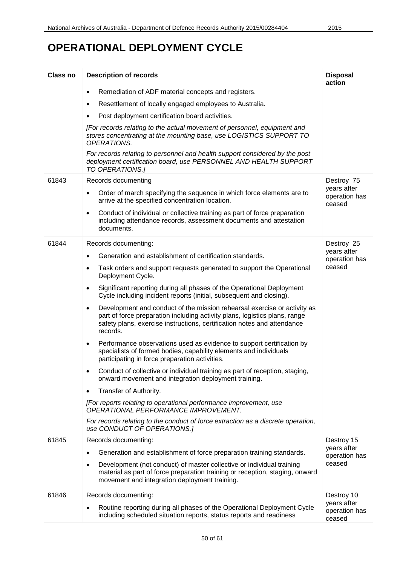| Class no | <b>Description of records</b>                                                                                                                                                                                                                              | <b>Disposal</b><br>action              |
|----------|------------------------------------------------------------------------------------------------------------------------------------------------------------------------------------------------------------------------------------------------------------|----------------------------------------|
|          | Remediation of ADF material concepts and registers.<br>$\bullet$                                                                                                                                                                                           |                                        |
|          | Resettlement of locally engaged employees to Australia.<br>٠                                                                                                                                                                                               |                                        |
|          | Post deployment certification board activities.<br>٠                                                                                                                                                                                                       |                                        |
|          | [For records relating to the actual movement of personnel, equipment and<br>stores concentrating at the mounting base, use LOGISTICS SUPPORT TO<br>OPERATIONS.                                                                                             |                                        |
|          | For records relating to personnel and health support considered by the post<br>deployment certification board, use PERSONNEL AND HEALTH SUPPORT<br>TO OPERATIONS.]                                                                                         |                                        |
| 61843    | Records documenting                                                                                                                                                                                                                                        | Destroy 75                             |
|          | Order of march specifying the sequence in which force elements are to<br>$\bullet$<br>arrive at the specified concentration location.                                                                                                                      | years after<br>operation has<br>ceased |
|          | Conduct of individual or collective training as part of force preparation<br>$\bullet$<br>including attendance records, assessment documents and attestation<br>documents.                                                                                 |                                        |
| 61844    | Records documenting:                                                                                                                                                                                                                                       | Destroy 25                             |
|          | Generation and establishment of certification standards.<br>$\bullet$                                                                                                                                                                                      | years after<br>operation has           |
|          | Task orders and support requests generated to support the Operational<br>٠<br>Deployment Cycle.                                                                                                                                                            | ceased                                 |
|          | Significant reporting during all phases of the Operational Deployment<br>٠<br>Cycle including incident reports (initial, subsequent and closing).                                                                                                          |                                        |
|          | Development and conduct of the mission rehearsal exercise or activity as<br>$\bullet$<br>part of force preparation including activity plans, logistics plans, range<br>safety plans, exercise instructions, certification notes and attendance<br>records. |                                        |
|          | Performance observations used as evidence to support certification by<br>٠<br>specialists of formed bodies, capability elements and individuals<br>participating in force preparation activities.                                                          |                                        |
|          | Conduct of collective or individual training as part of reception, staging,<br>onward movement and integration deployment training.                                                                                                                        |                                        |
|          | Transfer of Authority.<br>$\bullet$                                                                                                                                                                                                                        |                                        |
|          | [For reports relating to operational performance improvement, use<br>OPERATIONAL PERFORMANCE IMPROVEMENT.                                                                                                                                                  |                                        |
|          | For records relating to the conduct of force extraction as a discrete operation,<br>use CONDUCT OF OPERATIONS.]                                                                                                                                            |                                        |
| 61845    | Records documenting:                                                                                                                                                                                                                                       | Destroy 15<br>years after              |
|          | Generation and establishment of force preparation training standards.                                                                                                                                                                                      | operation has                          |
|          | Development (not conduct) of master collective or individual training<br>٠<br>material as part of force preparation training or reception, staging, onward<br>movement and integration deployment training.                                                | ceased                                 |
| 61846    | Records documenting:                                                                                                                                                                                                                                       | Destroy 10                             |
|          | Routine reporting during all phases of the Operational Deployment Cycle<br>including scheduled situation reports, status reports and readiness                                                                                                             | years after<br>operation has<br>ceased |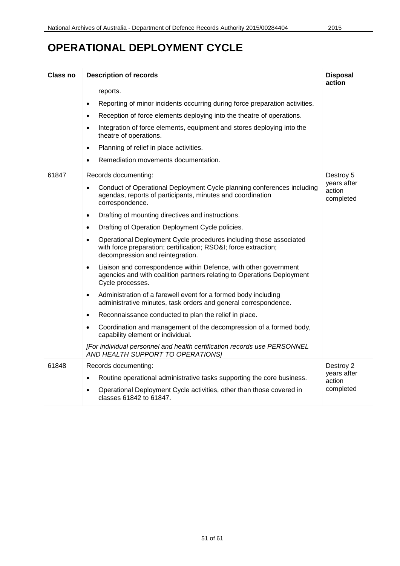| Class no | <b>Description of records</b>                                                                                                                                                                                                                                                                                                                                                                                                                                                                                                                                                                                                                                                                                                                                                                                                                                                                                                                                                                                                                                                                                                                                            | <b>Disposal</b><br>action                       |
|----------|--------------------------------------------------------------------------------------------------------------------------------------------------------------------------------------------------------------------------------------------------------------------------------------------------------------------------------------------------------------------------------------------------------------------------------------------------------------------------------------------------------------------------------------------------------------------------------------------------------------------------------------------------------------------------------------------------------------------------------------------------------------------------------------------------------------------------------------------------------------------------------------------------------------------------------------------------------------------------------------------------------------------------------------------------------------------------------------------------------------------------------------------------------------------------|-------------------------------------------------|
|          | reports.<br>Reporting of minor incidents occurring during force preparation activities.<br>$\bullet$<br>Reception of force elements deploying into the theatre of operations.<br>$\bullet$<br>Integration of force elements, equipment and stores deploying into the<br>theatre of operations.<br>Planning of relief in place activities.<br>$\bullet$<br>Remediation movements documentation.<br>$\bullet$                                                                                                                                                                                                                                                                                                                                                                                                                                                                                                                                                                                                                                                                                                                                                              |                                                 |
| 61847    | Records documenting:<br>Conduct of Operational Deployment Cycle planning conferences including<br>$\bullet$<br>agendas, reports of participants, minutes and coordination<br>correspondence.<br>Drafting of mounting directives and instructions.<br>$\bullet$<br>Drafting of Operation Deployment Cycle policies.<br>$\bullet$<br>Operational Deployment Cycle procedures including those associated<br>$\bullet$<br>with force preparation; certification; RSO&I force extraction;<br>decompression and reintegration.<br>Liaison and correspondence within Defence, with other government<br>$\bullet$<br>agencies and with coalition partners relating to Operations Deployment<br>Cycle processes.<br>Administration of a farewell event for a formed body including<br>$\bullet$<br>administrative minutes, task orders and general correspondence.<br>Reconnaissance conducted to plan the relief in place.<br>$\bullet$<br>Coordination and management of the decompression of a formed body,<br>$\bullet$<br>capability element or individual.<br>[For individual personnel and health certification records use PERSONNEL<br>AND HEALTH SUPPORT TO OPERATIONS] | Destroy 5<br>years after<br>action<br>completed |
| 61848    | Records documenting:<br>Routine operational administrative tasks supporting the core business.<br>$\bullet$<br>Operational Deployment Cycle activities, other than those covered in<br>classes 61842 to 61847.                                                                                                                                                                                                                                                                                                                                                                                                                                                                                                                                                                                                                                                                                                                                                                                                                                                                                                                                                           | Destroy 2<br>years after<br>action<br>completed |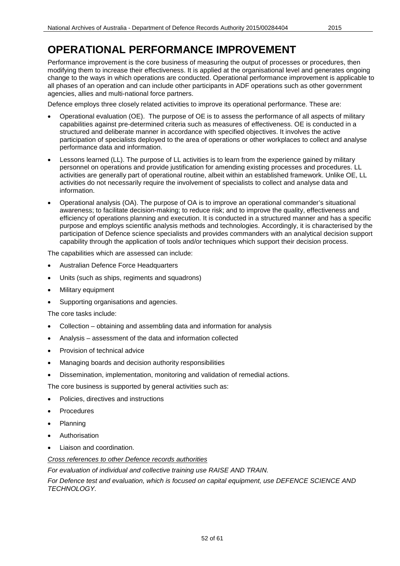## **OPERATIONAL PERFORMANCE IMPROVEMENT**

Performance improvement is the core business of measuring the output of processes or procedures, then modifying them to increase their effectiveness. It is applied at the organisational level and generates ongoing change to the ways in which operations are conducted. Operational performance improvement is applicable to all phases of an operation and can include other participants in ADF operations such as other government agencies, allies and multi-national force partners.

Defence employs three closely related activities to improve its operational performance. These are:

- Operational evaluation (OE). The purpose of OE is to assess the performance of all aspects of military capabilities against pre-determined criteria such as measures of effectiveness. OE is conducted in a structured and deliberate manner in accordance with specified objectives. It involves the active participation of specialists deployed to the area of operations or other workplaces to collect and analyse performance data and information.
- Lessons learned (LL). The purpose of LL activities is to learn from the experience gained by military personnel on operations and provide justification for amending existing processes and procedures. LL activities are generally part of operational routine, albeit within an established framework. Unlike OE, LL activities do not necessarily require the involvement of specialists to collect and analyse data and information.
- Operational analysis (OA). The purpose of OA is to improve an operational commander's situational awareness; to facilitate decision-making; to reduce risk; and to improve the quality, effectiveness and efficiency of operations planning and execution. It is conducted in a structured manner and has a specific purpose and employs scientific analysis methods and technologies. Accordingly, it is characterised by the participation of Defence science specialists and provides commanders with an analytical decision support capability through the application of tools and/or techniques which support their decision process.

The capabilities which are assessed can include:

- Australian Defence Force Headquarters
- Units (such as ships, regiments and squadrons)
- Military equipment
- Supporting organisations and agencies.

The core tasks include:

- Collection obtaining and assembling data and information for analysis
- Analysis assessment of the data and information collected
- Provision of technical advice
- Managing boards and decision authority responsibilities
- Dissemination, implementation, monitoring and validation of remedial actions.

The core business is supported by general activities such as:

- Policies, directives and instructions
- **Procedures**
- Planning
- **Authorisation**
- Liaison and coordination.

*Cross references to other Defence records authorities*

*For evaluation of individual and collective training use RAISE AND TRAIN.*

For Defence test and evaluation, which is focused on capital equipment, use DEFENCE SCIENCE AND *TECHNOLOGY.*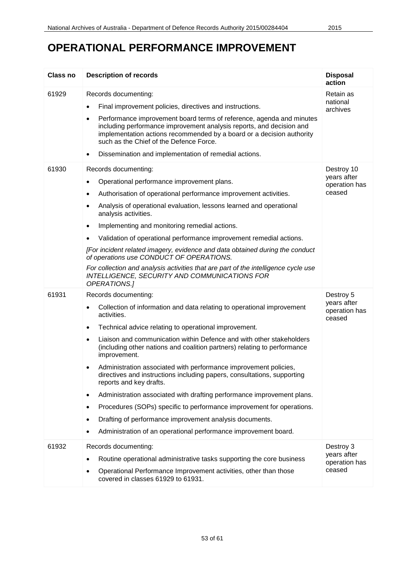# **OPERATIONAL PERFORMANCE IMPROVEMENT**

| <b>Class no</b> | <b>Description of records</b>                                                                                                                                                                                                                                                                                                                                                                                                                                                                                                                                                                                                                                                                                                                                                                                                               | <b>Disposal</b><br>action                            |
|-----------------|---------------------------------------------------------------------------------------------------------------------------------------------------------------------------------------------------------------------------------------------------------------------------------------------------------------------------------------------------------------------------------------------------------------------------------------------------------------------------------------------------------------------------------------------------------------------------------------------------------------------------------------------------------------------------------------------------------------------------------------------------------------------------------------------------------------------------------------------|------------------------------------------------------|
| 61929           | Records documenting:<br>Final improvement policies, directives and instructions.<br>$\bullet$<br>Performance improvement board terms of reference, agenda and minutes<br>٠<br>including performance improvement analysis reports, and decision and<br>implementation actions recommended by a board or a decision authority<br>such as the Chief of the Defence Force.<br>Dissemination and implementation of remedial actions.<br>٠                                                                                                                                                                                                                                                                                                                                                                                                        | Retain as<br>national<br>archives                    |
| 61930           | Records documenting:<br>Operational performance improvement plans.<br>$\bullet$<br>Authorisation of operational performance improvement activities.<br>٠<br>Analysis of operational evaluation, lessons learned and operational<br>analysis activities.<br>Implementing and monitoring remedial actions.<br>$\bullet$<br>Validation of operational performance improvement remedial actions.<br>[For incident related imagery, evidence and data obtained during the conduct<br>of operations use CONDUCT OF OPERATIONS.<br>For collection and analysis activities that are part of the intelligence cycle use<br>INTELLIGENCE, SECURITY AND COMMUNICATIONS FOR<br>OPERATIONS.]                                                                                                                                                             | Destroy 10<br>years after<br>operation has<br>ceased |
| 61931           | Records documenting:<br>Collection of information and data relating to operational improvement<br>activities.<br>Technical advice relating to operational improvement.<br>٠<br>Liaison and communication within Defence and with other stakeholders<br>(including other nations and coalition partners) relating to performance<br>improvement.<br>Administration associated with performance improvement policies,<br>$\bullet$<br>directives and instructions including papers, consultations, supporting<br>reports and key drafts.<br>Administration associated with drafting performance improvement plans.<br>٠<br>Procedures (SOPs) specific to performance improvement for operations.<br>٠<br>Drafting of performance improvement analysis documents.<br>٠<br>Administration of an operational performance improvement board.<br>٠ | Destroy 5<br>years after<br>operation has<br>ceased  |
| 61932           | Records documenting:<br>Routine operational administrative tasks supporting the core business<br>٠<br>Operational Performance Improvement activities, other than those<br>٠<br>covered in classes 61929 to 61931.                                                                                                                                                                                                                                                                                                                                                                                                                                                                                                                                                                                                                           | Destroy 3<br>years after<br>operation has<br>ceased  |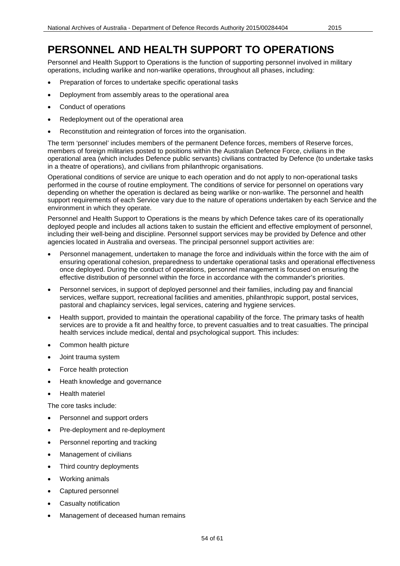Personnel and Health Support to Operations is the function of supporting personnel involved in military operations, including warlike and non-warlike operations, throughout all phases, including:

- Preparation of forces to undertake specific operational tasks
- Deployment from assembly areas to the operational area
- Conduct of operations
- Redeployment out of the operational area
- Reconstitution and reintegration of forces into the organisation.

The term 'personnel' includes members of the permanent Defence forces, members of Reserve forces, members of foreign militaries posted to positions within the Australian Defence Force, civilians in the operational area (which includes Defence public servants) civilians contracted by Defence (to undertake tasks in a theatre of operations), and civilians from philanthropic organisations.

Operational conditions of service are unique to each operation and do not apply to non-operational tasks performed in the course of routine employment. The conditions of service for personnel on operations vary depending on whether the operation is declared as being warlike or non-warlike. The personnel and health support requirements of each Service vary due to the nature of operations undertaken by each Service and the environment in which they operate.

Personnel and Health Support to Operations is the means by which Defence takes care of its operationally deployed people and includes all actions taken to sustain the efficient and effective employment of personnel, including their well-being and discipline. Personnel support services may be provided by Defence and other agencies located in Australia and overseas. The principal personnel support activities are:

- Personnel management, undertaken to manage the force and individuals within the force with the aim of ensuring operational cohesion, preparedness to undertake operational tasks and operational effectiveness once deployed. During the conduct of operations, personnel management is focused on ensuring the effective distribution of personnel within the force in accordance with the commander's priorities.
- Personnel services, in support of deployed personnel and their families, including pay and financial services, welfare support, recreational facilities and amenities, philanthropic support, postal services, pastoral and chaplaincy services, legal services, catering and hygiene services.
- Health support, provided to maintain the operational capability of the force. The primary tasks of health services are to provide a fit and healthy force, to prevent casualties and to treat casualties. The principal health services include medical, dental and psychological support. This includes:
- Common health picture
- Joint trauma system
- Force health protection
- Heath knowledge and governance
- Health materiel

The core tasks include:

- Personnel and support orders
- Pre-deployment and re-deployment
- Personnel reporting and tracking
- Management of civilians
- Third country deployments
- Working animals
- Captured personnel
- Casualty notification
- Management of deceased human remains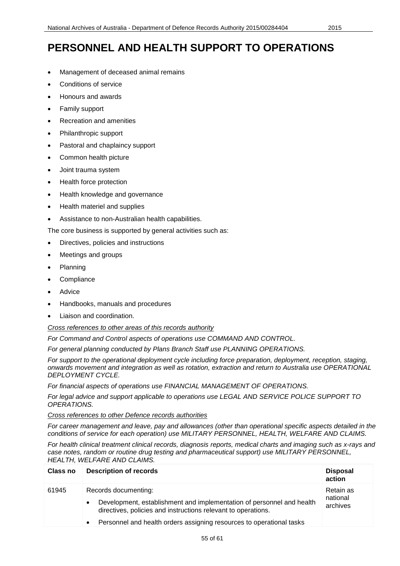- Management of deceased animal remains
- Conditions of service
- Honours and awards
- Family support
- Recreation and amenities
- Philanthropic support
- Pastoral and chaplaincy support
- Common health picture
- Joint trauma system
- Health force protection
- Health knowledge and governance
- Health materiel and supplies
- Assistance to non-Australian health capabilities.

The core business is supported by general activities such as:

- Directives, policies and instructions
- Meetings and groups
- Planning
- **Compliance**
- **Advice**
- Handbooks, manuals and procedures
- Liaison and coordination.

#### *Cross references to other areas of this records authority*

*For Command and Control aspects of operations use COMMAND AND CONTROL.*

*For general planning conducted by Plans Branch Staff use PLANNING OPERATIONS.*

*For support to the operational deployment cycle including force preparation, deployment, reception, staging, onwards movement and integration as well as rotation, extraction and return to Australia use OPERATIONAL DEPLOYMENT CYCLE.*

*For financial aspects of operations use FINANCIAL MANAGEMENT OF OPERATIONS.*

*For legal advice and support applicable to operations use LEGAL AND SERVICE POLICE SUPPORT TO OPERATIONS.*

*Cross references to other Defence records authorities*

*For career management and leave, pay and allowances (other than operational specific aspects detailed in the conditions of service for each operation) use MILITARY PERSONNEL, HEALTH, WELFARE AND CLAIMS.*

*For health clinical treatment clinical records, diagnosis reports, medical charts and imaging such as x-rays and case notes, random or routine drug testing and pharmaceutical support) use MILITARY PERSONNEL, HEALTH, WELFARE AND CLAIMS.*

| Class no | <b>Description of records</b>                                                                                                                                                                                                                                    | <b>Disposal</b><br>action         |
|----------|------------------------------------------------------------------------------------------------------------------------------------------------------------------------------------------------------------------------------------------------------------------|-----------------------------------|
| 61945    | Records documenting:<br>Development, establishment and implementation of personnel and health<br>$\bullet$<br>directives, policies and instructions relevant to operations.<br>Personnel and health orders assigning resources to operational tasks<br>$\bullet$ | Retain as<br>national<br>archives |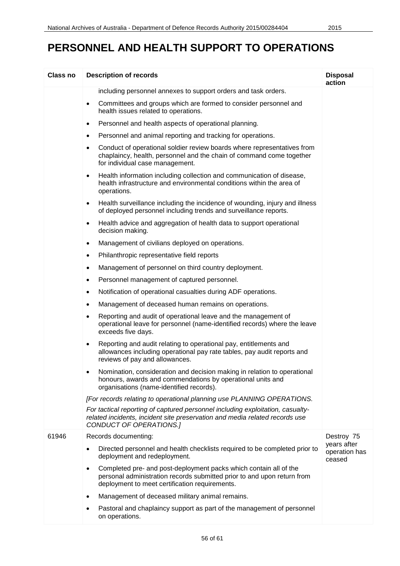| Class no | <b>Description of records</b>                                                                                                                                                                               | <b>Disposal</b><br>action              |
|----------|-------------------------------------------------------------------------------------------------------------------------------------------------------------------------------------------------------------|----------------------------------------|
|          | including personnel annexes to support orders and task orders.                                                                                                                                              |                                        |
|          | Committees and groups which are formed to consider personnel and<br>$\bullet$<br>health issues related to operations.                                                                                       |                                        |
|          | Personnel and health aspects of operational planning.<br>$\bullet$                                                                                                                                          |                                        |
|          | Personnel and animal reporting and tracking for operations.<br>$\bullet$                                                                                                                                    |                                        |
|          | Conduct of operational soldier review boards where representatives from<br>$\bullet$<br>chaplaincy, health, personnel and the chain of command come together<br>for individual case management.             |                                        |
|          | Health information including collection and communication of disease,<br>$\bullet$<br>health infrastructure and environmental conditions within the area of<br>operations.                                  |                                        |
|          | Health surveillance including the incidence of wounding, injury and illness<br>$\bullet$<br>of deployed personnel including trends and surveillance reports.                                                |                                        |
|          | Health advice and aggregation of health data to support operational<br>$\bullet$<br>decision making.                                                                                                        |                                        |
|          | Management of civilians deployed on operations.<br>$\bullet$                                                                                                                                                |                                        |
|          | Philanthropic representative field reports<br>$\bullet$                                                                                                                                                     |                                        |
|          | Management of personnel on third country deployment.<br>$\bullet$                                                                                                                                           |                                        |
|          | Personnel management of captured personnel.<br>$\bullet$                                                                                                                                                    |                                        |
|          | Notification of operational casualties during ADF operations.<br>$\bullet$                                                                                                                                  |                                        |
|          | Management of deceased human remains on operations.<br>$\bullet$                                                                                                                                            |                                        |
|          | Reporting and audit of operational leave and the management of<br>$\bullet$<br>operational leave for personnel (name-identified records) where the leave<br>exceeds five days.                              |                                        |
|          | Reporting and audit relating to operational pay, entitlements and<br>٠<br>allowances including operational pay rate tables, pay audit reports and<br>reviews of pay and allowances.                         |                                        |
|          | Nomination, consideration and decision making in relation to operational<br>honours, awards and commendations by operational units and<br>organisations (name-identified records).                          |                                        |
|          | [For records relating to operational planning use PLANNING OPERATIONS.                                                                                                                                      |                                        |
|          | For tactical reporting of captured personnel including exploitation, casualty-<br>related incidents, incident site preservation and media related records use<br>CONDUCT OF OPERATIONS.]                    |                                        |
| 61946    | Records documenting:                                                                                                                                                                                        | Destroy 75                             |
|          | Directed personnel and health checklists required to be completed prior to<br>deployment and redeployment.                                                                                                  | years after<br>operation has<br>ceased |
|          | Completed pre- and post-deployment packs which contain all of the<br>$\bullet$<br>personal administration records submitted prior to and upon return from<br>deployment to meet certification requirements. |                                        |
|          | Management of deceased military animal remains.<br>٠                                                                                                                                                        |                                        |
|          | Pastoral and chaplaincy support as part of the management of personnel<br>on operations.                                                                                                                    |                                        |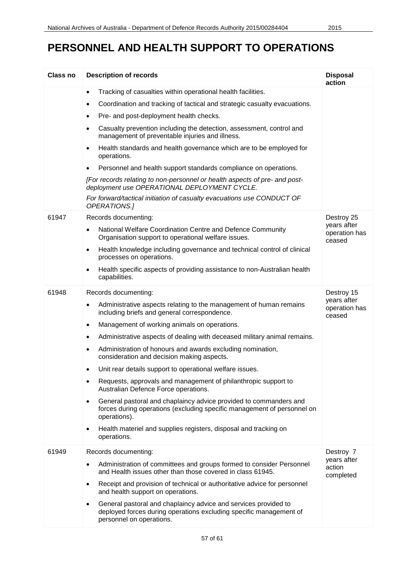| <b>Class no</b> | <b>Description of records</b>                                                                                                                                             | <b>Disposal</b><br>action              |
|-----------------|---------------------------------------------------------------------------------------------------------------------------------------------------------------------------|----------------------------------------|
|                 | Tracking of casualties within operational health facilities.<br>$\bullet$                                                                                                 |                                        |
|                 | Coordination and tracking of tactical and strategic casualty evacuations.<br>$\bullet$                                                                                    |                                        |
|                 | Pre- and post-deployment health checks.<br>$\bullet$                                                                                                                      |                                        |
|                 | Casualty prevention including the detection, assessment, control and<br>$\bullet$<br>management of preventable injuries and illness.                                      |                                        |
|                 | Health standards and health governance which are to be employed for<br>operations.                                                                                        |                                        |
|                 | Personnel and health support standards compliance on operations.<br>$\bullet$                                                                                             |                                        |
|                 | [For records relating to non-personnel or health aspects of pre- and post-<br>deployment use OPERATIONAL DEPLOYMENT CYCLE.                                                |                                        |
|                 | For forward/tactical initiation of casualty evacuations use CONDUCT OF<br>OPERATIONS.]                                                                                    |                                        |
| 61947           | Records documenting:                                                                                                                                                      | Destroy 25                             |
|                 | National Welfare Coordination Centre and Defence Community<br>$\bullet$<br>Organisation support to operational welfare issues.                                            | years after<br>operation has<br>ceased |
|                 | Health knowledge including governance and technical control of clinical<br>$\bullet$<br>processes on operations.                                                          |                                        |
|                 | Health specific aspects of providing assistance to non-Australian health<br>$\bullet$<br>capabilities.                                                                    |                                        |
| 61948           | Records documenting:                                                                                                                                                      | Destroy 15                             |
|                 | Administrative aspects relating to the management of human remains<br>$\bullet$<br>including briefs and general correspondence.                                           | years after<br>operation has<br>ceased |
|                 | Management of working animals on operations.<br>$\bullet$                                                                                                                 |                                        |
|                 | Administrative aspects of dealing with deceased military animal remains.<br>$\bullet$                                                                                     |                                        |
|                 | Administration of honours and awards excluding nomination,<br>$\bullet$<br>consideration and decision making aspects.                                                     |                                        |
|                 | Unit rear details support to operational welfare issues                                                                                                                   |                                        |
|                 | Requests, approvals and management of philanthropic support to<br>$\bullet$<br>Australian Defence Force operations.                                                       |                                        |
|                 | General pastoral and chaplaincy advice provided to commanders and<br>$\bullet$<br>forces during operations (excluding specific management of personnel on<br>operations). |                                        |
|                 | Health materiel and supplies registers, disposal and tracking on<br>$\bullet$<br>operations.                                                                              |                                        |
| 61949           | Records documenting:                                                                                                                                                      | Destroy 7                              |
|                 | Administration of committees and groups formed to consider Personnel<br>and Health issues other than those covered in class 61945.                                        | years after<br>action<br>completed     |
|                 | Receipt and provision of technical or authoritative advice for personnel<br>$\bullet$<br>and health support on operations.                                                |                                        |
|                 | General pastoral and chaplaincy advice and services provided to<br>deployed forces during operations excluding specific management of<br>personnel on operations.         |                                        |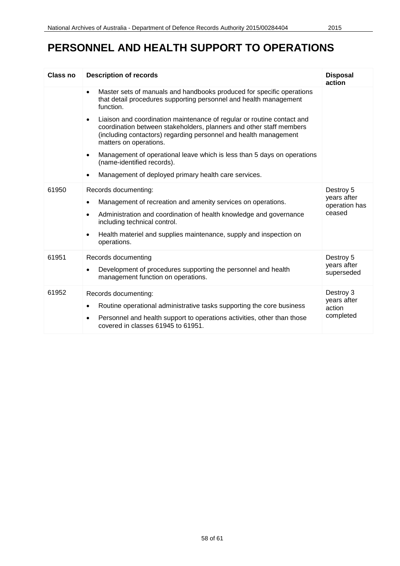| Class no | <b>Description of records</b>                                                                                                                                                                                                                                                                                          | <b>Disposal</b><br>action                           |
|----------|------------------------------------------------------------------------------------------------------------------------------------------------------------------------------------------------------------------------------------------------------------------------------------------------------------------------|-----------------------------------------------------|
|          | Master sets of manuals and handbooks produced for specific operations<br>$\bullet$<br>that detail procedures supporting personnel and health management<br>function.                                                                                                                                                   |                                                     |
|          | Liaison and coordination maintenance of regular or routine contact and<br>٠<br>coordination between stakeholders, planners and other staff members<br>(including contactors) regarding personnel and health management<br>matters on operations.                                                                       |                                                     |
|          | Management of operational leave which is less than 5 days on operations<br>$\bullet$<br>(name-identified records).                                                                                                                                                                                                     |                                                     |
|          | Management of deployed primary health care services.<br>$\bullet$                                                                                                                                                                                                                                                      |                                                     |
| 61950    | Records documenting:<br>Management of recreation and amenity services on operations.<br>$\bullet$<br>Administration and coordination of health knowledge and governance<br>$\bullet$<br>including technical control.<br>Health materiel and supplies maintenance, supply and inspection on<br>$\bullet$<br>operations. | Destroy 5<br>years after<br>operation has<br>ceased |
| 61951    | Records documenting<br>Development of procedures supporting the personnel and health<br>management function on operations.                                                                                                                                                                                             | Destroy 5<br>years after<br>superseded              |
| 61952    | Records documenting:<br>Routine operational administrative tasks supporting the core business<br>٠<br>Personnel and health support to operations activities, other than those<br>$\bullet$<br>covered in classes 61945 to 61951.                                                                                       | Destroy 3<br>years after<br>action<br>completed     |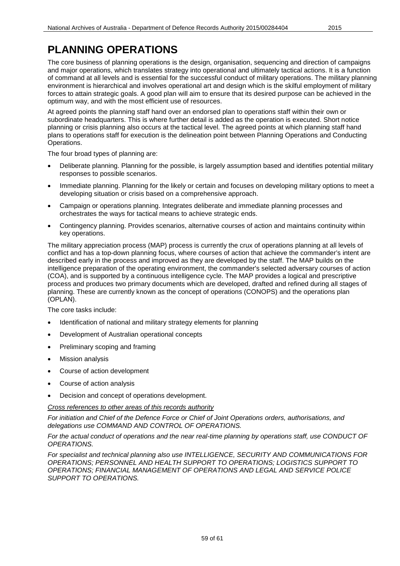### **PLANNING OPERATIONS**

The core business of planning operations is the design, organisation, sequencing and direction of campaigns and major operations, which translates strategy into operational and ultimately tactical actions. It is a function of command at all levels and is essential for the successful conduct of military operations. The military planning environment is hierarchical and involves operational art and design which is the skilful employment of military forces to attain strategic goals. A good plan will aim to ensure that its desired purpose can be achieved in the optimum way, and with the most efficient use of resources.

At agreed points the planning staff hand over an endorsed plan to operations staff within their own or subordinate headquarters. This is where further detail is added as the operation is executed. Short notice planning or crisis planning also occurs at the tactical level. The agreed points at which planning staff hand plans to operations staff for execution is the delineation point between Planning Operations and Conducting Operations.

The four broad types of planning are:

- Deliberate planning. Planning for the possible, is largely assumption based and identifies potential military responses to possible scenarios.
- Immediate planning. Planning for the likely or certain and focuses on developing military options to meet a developing situation or crisis based on a comprehensive approach.
- Campaign or operations planning. Integrates deliberate and immediate planning processes and orchestrates the ways for tactical means to achieve strategic ends.
- Contingency planning. Provides scenarios, alternative courses of action and maintains continuity within key operations.

The military appreciation process (MAP) process is currently the crux of operations planning at all levels of conflict and has a top-down planning focus, where courses of action that achieve the commander's intent are described early in the process and improved as they are developed by the staff. The MAP builds on the intelligence preparation of the operating environment, the commander's selected adversary courses of action (COA), and is supported by a continuous intelligence cycle. The MAP provides a logical and prescriptive process and produces two primary documents which are developed, drafted and refined during all stages of planning. These are currently known as the concept of operations (CONOPS) and the operations plan (OPLAN).

The core tasks include:

- Identification of national and military strategy elements for planning
- Development of Australian operational concepts
- Preliminary scoping and framing
- Mission analysis
- Course of action development
- Course of action analysis
- Decision and concept of operations development.

#### *Cross references to other areas of this records authority*

*For initiation and Chief of the Defence Force or Chief of Joint Operations orders, authorisations, and delegations use COMMAND AND CONTROL OF OPERATIONS.*

#### *For the actual conduct of operations and the near real-time planning by operations staff, use CONDUCT OF OPERATIONS.*

*For specialist and technical planning also use INTELLIGENCE, SECURITY AND COMMUNICATIONS FOR OPERATIONS; PERSONNEL AND HEALTH SUPPORT TO OPERATIONS; LOGISTICS SUPPORT TO OPERATIONS; FINANCIAL MANAGEMENT OF OPERATIONS AND LEGAL AND SERVICE POLICE SUPPORT TO OPERATIONS.*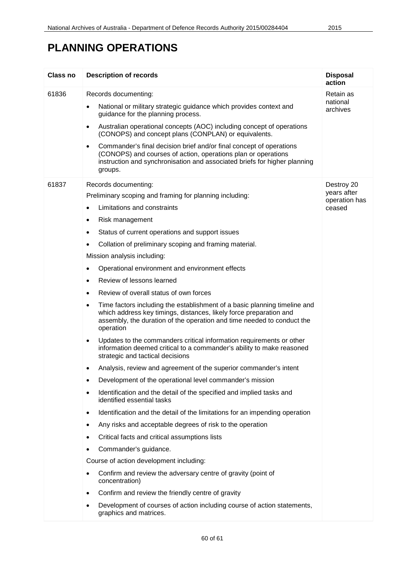# **PLANNING OPERATIONS**

| Class no | <b>Description of records</b>                                                                                                                                                                                                                       | <b>Disposal</b><br>action    |
|----------|-----------------------------------------------------------------------------------------------------------------------------------------------------------------------------------------------------------------------------------------------------|------------------------------|
| 61836    | Records documenting:                                                                                                                                                                                                                                | Retain as                    |
|          | National or military strategic guidance which provides context and<br>guidance for the planning process.                                                                                                                                            | national<br>archives         |
|          | Australian operational concepts (AOC) including concept of operations<br>٠<br>(CONOPS) and concept plans (CONPLAN) or equivalents.                                                                                                                  |                              |
|          | Commander's final decision brief and/or final concept of operations<br>$\bullet$<br>(CONOPS) and courses of action, operations plan or operations<br>instruction and synchronisation and associated briefs for higher planning<br>groups.           |                              |
| 61837    | Records documenting:                                                                                                                                                                                                                                | Destroy 20                   |
|          | Preliminary scoping and framing for planning including:                                                                                                                                                                                             | years after<br>operation has |
|          | Limitations and constraints<br>$\bullet$                                                                                                                                                                                                            | ceased                       |
|          | Risk management<br>٠                                                                                                                                                                                                                                |                              |
|          | Status of current operations and support issues<br>$\bullet$                                                                                                                                                                                        |                              |
|          | Collation of preliminary scoping and framing material.                                                                                                                                                                                              |                              |
|          | Mission analysis including:                                                                                                                                                                                                                         |                              |
|          | Operational environment and environment effects<br>٠                                                                                                                                                                                                |                              |
|          | Review of lessons learned<br>$\bullet$                                                                                                                                                                                                              |                              |
|          | Review of overall status of own forces<br>$\bullet$                                                                                                                                                                                                 |                              |
|          | Time factors including the establishment of a basic planning timeline and<br>$\bullet$<br>which address key timings, distances, likely force preparation and<br>assembly, the duration of the operation and time needed to conduct the<br>operation |                              |
|          | Updates to the commanders critical information requirements or other<br>$\bullet$<br>information deemed critical to a commander's ability to make reasoned<br>strategic and tactical decisions                                                      |                              |
|          | Analysis, review and agreement of the superior commander's intent                                                                                                                                                                                   |                              |
|          | Development of the operational level commander's mission                                                                                                                                                                                            |                              |
|          | Identification and the detail of the specified and implied tasks and<br>٠<br>identified essential tasks                                                                                                                                             |                              |
|          | Identification and the detail of the limitations for an impending operation<br>٠                                                                                                                                                                    |                              |
|          | Any risks and acceptable degrees of risk to the operation<br>٠                                                                                                                                                                                      |                              |
|          | Critical facts and critical assumptions lists                                                                                                                                                                                                       |                              |
|          | Commander's guidance.                                                                                                                                                                                                                               |                              |
|          | Course of action development including:                                                                                                                                                                                                             |                              |
|          | Confirm and review the adversary centre of gravity (point of<br>concentration)                                                                                                                                                                      |                              |
|          | Confirm and review the friendly centre of gravity<br>٠                                                                                                                                                                                              |                              |
|          | Development of courses of action including course of action statements,<br>graphics and matrices.                                                                                                                                                   |                              |